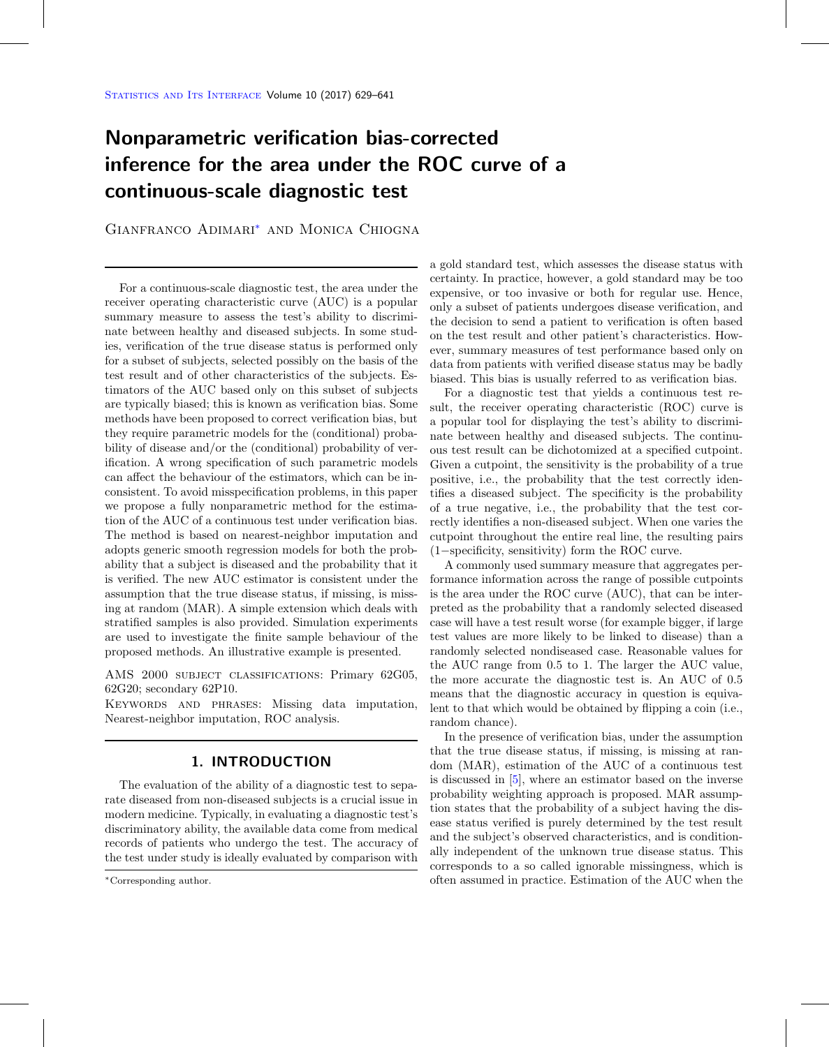# **Nonparametric verification bias-corrected inference for the area under the ROC curve of a continuous-scale diagnostic test**

Gianfranco Adimari[∗](#page-0-0) and Monica Chiogna

For a continuous-scale diagnostic test, the area under the receiver operating characteristic curve (AUC) is a popular summary measure to assess the test's ability to discriminate between healthy and diseased subjects. In some studies, verification of the true disease status is performed only for a subset of subjects, selected possibly on the basis of the test result and of other characteristics of the subjects. Estimators of the AUC based only on this subset of subjects are typically biased; this is known as verification bias. Some methods have been proposed to correct verification bias, but they require parametric models for the (conditional) probability of disease and/or the (conditional) probability of verification. A wrong specification of such parametric models can affect the behaviour of the estimators, which can be inconsistent. To avoid misspecification problems, in this paper we propose a fully nonparametric method for the estimation of the AUC of a continuous test under verification bias. The method is based on nearest-neighbor imputation and adopts generic smooth regression models for both the probability that a subject is diseased and the probability that it is verified. The new AUC estimator is consistent under the assumption that the true disease status, if missing, is missing at random (MAR). A simple extension which deals with stratified samples is also provided. Simulation experiments are used to investigate the finite sample behaviour of the proposed methods. An illustrative example is presented.

AMS 2000 subject classifications: Primary 62G05, 62G20; secondary 62P10.

Keywords and phrases: Missing data imputation, Nearest-neighbor imputation, ROC analysis.

# **1. INTRODUCTION**

The evaluation of the ability of a diagnostic test to separate diseased from non-diseased subjects is a crucial issue in modern medicine. Typically, in evaluating a diagnostic test's discriminatory ability, the available data come from medical records of patients who undergo the test. The accuracy of the test under study is ideally evaluated by comparison with a gold standard test, which assesses the disease status with certainty. In practice, however, a gold standard may be too expensive, or too invasive or both for regular use. Hence, only a subset of patients undergoes disease verification, and the decision to send a patient to verification is often based on the test result and other patient's characteristics. However, summary measures of test performance based only on data from patients with verified disease status may be badly biased. This bias is usually referred to as verification bias.

For a diagnostic test that yields a continuous test result, the receiver operating characteristic (ROC) curve is a popular tool for displaying the test's ability to discriminate between healthy and diseased subjects. The continuous test result can be dichotomized at a specified cutpoint. Given a cutpoint, the sensitivity is the probability of a true positive, i.e., the probability that the test correctly identifies a diseased subject. The specificity is the probability of a true negative, i.e., the probability that the test correctly identifies a non-diseased subject. When one varies the cutpoint throughout the entire real line, the resulting pairs (1−specificity, sensitivity) form the ROC curve.

A commonly used summary measure that aggregates performance information across the range of possible cutpoints is the area under the ROC curve (AUC), that can be interpreted as the probability that a randomly selected diseased case will have a test result worse (for example bigger, if large test values are more likely to be linked to disease) than a randomly selected nondiseased case. Reasonable values for the AUC range from 0.5 to 1. The larger the AUC value, the more accurate the diagnostic test is. An AUC of 0.5 means that the diagnostic accuracy in question is equivalent to that which would be obtained by flipping a coin (i.e., random chance).

In the presence of verification bias, under the assumption that the true disease status, if missing, is missing at random (MAR), estimation of the AUC of a continuous test is discussed in [\[5\]](#page-12-0), where an estimator based on the inverse probability weighting approach is proposed. MAR assumption states that the probability of a subject having the disease status verified is purely determined by the test result and the subject's observed characteristics, and is conditionally independent of the unknown true disease status. This corresponds to a so called ignorable missingness, which is often assumed in practice. Estimation of the AUC when the

<span id="page-0-0"></span><sup>∗</sup>Corresponding author.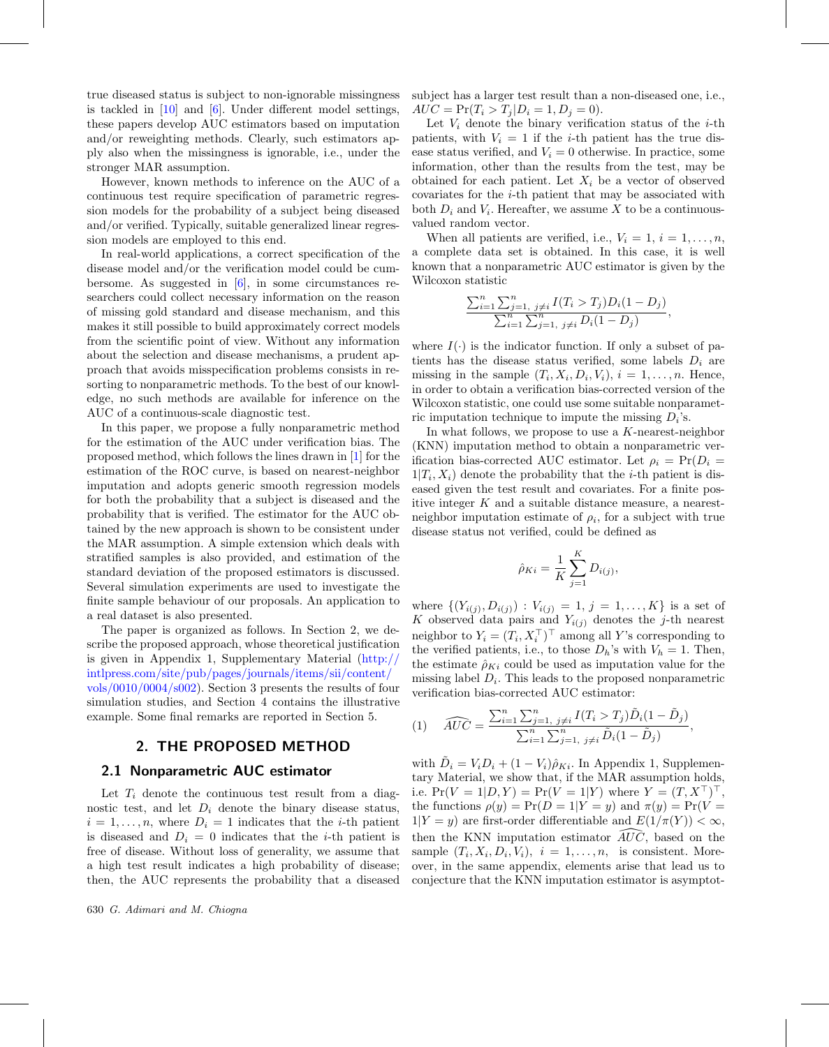true diseased status is subject to non-ignorable missingness is tackled in [\[10](#page-12-1)] and [\[6](#page-12-2)]. Under different model settings, these papers develop AUC estimators based on imputation and/or reweighting methods. Clearly, such estimators apply also when the missingness is ignorable, i.e., under the stronger MAR assumption.

However, known methods to inference on the AUC of a continuous test require specification of parametric regression models for the probability of a subject being diseased and/or verified. Typically, suitable generalized linear regression models are employed to this end.

In real-world applications, a correct specification of the disease model and/or the verification model could be cumbersome. As suggested in  $[6]$ , in some circumstances researchers could collect necessary information on the reason of missing gold standard and disease mechanism, and this makes it still possible to build approximately correct models from the scientific point of view. Without any information about the selection and disease mechanisms, a prudent approach that avoids misspecification problems consists in resorting to nonparametric methods. To the best of our knowledge, no such methods are available for inference on the AUC of a continuous-scale diagnostic test.

In this paper, we propose a fully nonparametric method for the estimation of the AUC under verification bias. The proposed method, which follows the lines drawn in [\[1](#page-12-3)] for the estimation of the ROC curve, is based on nearest-neighbor imputation and adopts generic smooth regression models for both the probability that a subject is diseased and the probability that is verified. The estimator for the AUC obtained by the new approach is shown to be consistent under the MAR assumption. A simple extension which deals with stratified samples is also provided, and estimation of the standard deviation of the proposed estimators is discussed. Several simulation experiments are used to investigate the finite sample behaviour of our proposals. An application to a real dataset is also presented.

The paper is organized as follows. In Section 2, we describe the proposed approach, whose theoretical justification is given in Appendix 1, Supplementary Material [\(http://](http://intlpress.com/site/pub/pages/journals/items/sii/content/vols/0010/0004/s002) [intlpress.com/site/pub/pages/journals/items/sii/content/](http://intlpress.com/site/pub/pages/journals/items/sii/content/vols/0010/0004/s002) [vols/0010/0004/s002\)](http://intlpress.com/site/pub/pages/journals/items/sii/content/vols/0010/0004/s002). Section 3 presents the results of four simulation studies, and Section 4 contains the illustrative example. Some final remarks are reported in Section 5.

## **2. THE PROPOSED METHOD**

#### **2.1 Nonparametric AUC estimator**

Let  $T_i$  denote the continuous test result from a diagnostic test, and let  $D_i$  denote the binary disease status,  $i = 1, \ldots, n$ , where  $D_i = 1$  indicates that the *i*-th patient is diseased and  $D_i = 0$  indicates that the *i*-th patient is free of disease. Without loss of generality, we assume that a high test result indicates a high probability of disease; then, the AUC represents the probability that a diseased subject has a larger test result than a non-diseased one, i.e.,  $AUC = Pr(T_i > T_j | D_i = 1, D_j = 0).$ 

Let  $V_i$  denote the binary verification status of the *i*-th patients, with  $V_i = 1$  if the *i*-th patient has the true disease status verified, and  $V_i = 0$  otherwise. In practice, some information, other than the results from the test, may be obtained for each patient. Let  $X_i$  be a vector of observed covariates for the i-th patient that may be associated with both  $D_i$  and  $V_i$ . Hereafter, we assume X to be a continuousvalued random vector.

When all patients are verified, i.e.,  $V_i = 1, i = 1, \ldots, n$ , a complete data set is obtained. In this case, it is well known that a nonparametric AUC estimator is given by the Wilcoxon statistic

<span id="page-1-0"></span>
$$
\frac{\sum_{i=1}^{n} \sum_{j=1, j \neq i}^{n} I(T_i > T_j) D_i (1 - D_j)}{\sum_{i=1}^{n} \sum_{j=1, j \neq i}^{n} D_i (1 - D_j)},
$$

where  $I(\cdot)$  is the indicator function. If only a subset of patients has the disease status verified, some labels  $D_i$  are missing in the sample  $(T_i, X_i, D_i, V_i), i = 1, \ldots, n$ . Hence, in order to obtain a verification bias-corrected version of the Wilcoxon statistic, one could use some suitable nonparametric imputation technique to impute the missing  $D_i$ 's.

In what follows, we propose to use a K-nearest-neighbor (KNN) imputation method to obtain a nonparametric verification bias-corrected AUC estimator. Let  $\rho_i = \Pr(D_i =$  $1|T_i, X_i|$  denote the probability that the *i*-th patient is diseased given the test result and covariates. For a finite positive integer  $K$  and a suitable distance measure, a nearestneighbor imputation estimate of  $\rho_i$ , for a subject with true disease status not verified, could be defined as

$$
\hat{\rho}_{Ki} = \frac{1}{K} \sum_{j=1}^{K} D_{i(j)},
$$

where  $\{(Y_{i(j)}, D_{i(j)}) : V_{i(j)} = 1, j = 1,..., K\}$  is a set of K observed data pairs and  $Y_{i(j)}$  denotes the j-th nearest neighbor to  $Y_i = (T_i, X_i^{\perp})^{\perp}$  among all Y's corresponding to the verified patients, i.e., to those  $D_h$ 's with  $V_h = 1$ . Then, the estimate  $\hat{\rho}_{Ki}$  could be used as imputation value for the missing label  $D<sub>i</sub>$ . This leads to the proposed nonparametric

$$
\begin{aligned}\n\text{verification bias-corrected AUC estimator:} \\
(1) \quad \widehat{AUC} &= \frac{\sum_{i=1}^{n} \sum_{j=1, \ j \neq i}^{n} I(T_i > T_j) \tilde{D}_i (1 - \tilde{D}_j)}{\sum_{i=1}^{n} \sum_{j=1, \ j \neq i}^{n} \tilde{D}_i (1 - \tilde{D}_j)},\n\end{aligned}
$$

with  $\tilde{D}_i = V_i D_i + (1 - V_i) \hat{\rho}_{Ki}$ . In Appendix 1, Supplementary Material, we show that, if the MAR assumption holds, i.e.  $Pr(V = 1|D, Y) = Pr(V = 1|Y)$  where  $Y = (T, X^{\top})^{\top}$ , the functions  $\rho(y) = \Pr(D = 1 | Y = y)$  and  $\pi(y) = \Pr(V =$  $1|Y = y$  are first-order differentiable and  $E(1/\pi(Y)) < \infty$ , the functions  $\rho(y) = Pr(D = 1|Y = y)$  and  $1|Y = y$  are first-order differentiable and E<br>then the KNN imputation estimator  $\widehat{AUC}$ then the KNN imputation estimator  $\widehat{A}U\widehat{C}$ , based on the sample  $(T_i, X_i, D_i, V_i), i = 1, \ldots, n$ , is consistent. Moreover, in the same appendix, elements arise that lead us to conjecture that the KNN imputation estimator is asymptot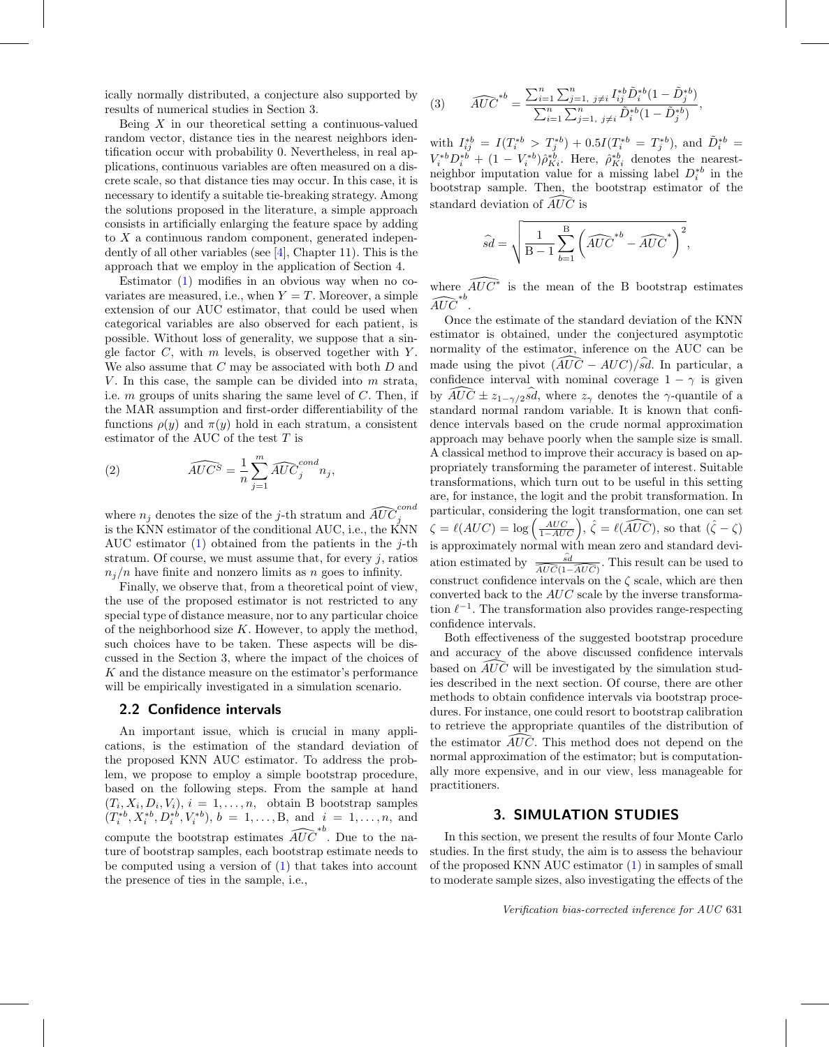ically normally distributed, a conjecture also supported by results of numerical studies in Section 3.

Being  $X$  in our theoretical setting a continuous-valued random vector, distance ties in the nearest neighbors identification occur with probability 0. Nevertheless, in real applications, continuous variables are often measured on a discrete scale, so that distance ties may occur. In this case, it is necessary to identify a suitable tie-breaking strategy. Among the solutions proposed in the literature, a simple approach consists in artificially enlarging the feature space by adding to  $X$  a continuous random component, generated independently of all other variables (see [\[4](#page-12-4)], Chapter 11). This is the approach that we employ in the application of Section 4.

Estimator  $(1)$  modifies in an obvious way when no covariates are measured, i.e., when  $Y = T$ . Moreover, a simple extension of our AUC estimator, that could be used when categorical variables are also observed for each patient, is possible. Without loss of generality, we suppose that a single factor  $C$ , with  $m$  levels, is observed together with  $Y$ . We also assume that  $C$  may be associated with both  $D$  and V. In this case, the sample can be divided into  $m$  strata, i.e.  $m$  groups of units sharing the same level of  $C$ . Then, if the MAR assumption and first-order differentiability of the functions  $\rho(y)$  and  $\pi(y)$  hold in each stratum, a consistent

estimator of the AUC of the test *T* is  
\n(2) 
$$
\widehat{AUC^S} = \frac{1}{n} \sum_{j=1}^{m} \widehat{AUC}^{cond}_j n_j,
$$

<span id="page-2-0"></span>where  $n_j$  denotes the size of the *j*-th stratum and  $\widehat{AUC}$ cond j is the KNN estimator of the conditional AUC, i.e., the KNN AUC estimator  $(1)$  obtained from the patients in the *j*-th stratum. Of course, we must assume that, for every  $j$ , ratios  $n_j/n$  have finite and nonzero limits as n goes to infinity.

Finally, we observe that, from a theoretical point of view, the use of the proposed estimator is not restricted to any special type of distance measure, nor to any particular choice of the neighborhood size  $K$ . However, to apply the method, such choices have to be taken. These aspects will be discussed in the Section 3, where the impact of the choices of K and the distance measure on the estimator's performance will be empirically investigated in a simulation scenario.

## **2.2 Confidence intervals**

An important issue, which is crucial in many applications, is the estimation of the standard deviation of the proposed KNN AUC estimator. To address the problem, we propose to employ a simple bootstrap procedure, based on the following steps. From the sample at hand  $(T_i, X_i, D_i, V_i), i = 1, \ldots, n$ , obtain B bootstrap samples  $(T_i^{*b}, X_i^{*b}, D_i^{*b}, V_i^{*b}), b = 1, \ldots, B, \text{ and } i = 1, \ldots, n, \text{ and}$  $(T_i, X_i, D_i, V_i), i = 1, \ldots, n$ , obtain B<br>  $(T_i^{*b}, X_i^{*b}, D_i^{*b}, V_i^{*b}), b = 1, \ldots, B$ , and<br>
compute the bootstrap estimates  $\widehat{AUC}$ ∗b . Due to the nature of bootstrap samples, each bootstrap estimate needs to be computed using a version of [\(1\)](#page-1-0) that takes into account the presence of ties in the sample, i.e.,

<span id="page-2-1"></span>(3) 
$$
\widehat{AUC}^{*b} = \frac{\sum_{i=1}^{n} \sum_{j=1, j \neq i}^{n} I_{ij}^{*b} \tilde{D}_{i}^{*b} (1 - \tilde{D}_{j}^{*b})}{\sum_{i=1}^{n} \sum_{j=1, j \neq i}^{n} \tilde{D}_{i}^{*b} (1 - \tilde{D}_{j}^{*b})},
$$

with  $I_{ij}^{*b} = I(T_i^{*b} > T_j^{*b}) + 0.5I(T_i^{*b} = T_j^{*b})$ , and  $\tilde{D}_i^{*b} =$  $V_i^{*b}D_i^{*b} + (1 - V_i^{*b})\hat{\rho}_{Ki}^{*b}$ . Here,  $\hat{\rho}_{Ki}^{*b}$  denotes the nearestneighbor imputation value for a missing label  $D_i^{*b}$  in the bootstrap sample. Then, the bootstrap estimator of the standard deviation of  $\widehat{AUC}$  is bootstrap sample. Then, the bootstrap estimator of the standard deviation of  $\widehat{A}U\widehat{C}$  is

$$
\hat{sd} = \sqrt{\frac{1}{B-1} \sum_{b=1}^{B} \left(\widehat{AUC}^{*b} - \widehat{AUC}^*\right)^2},
$$

where  $\widehat{AUC}^*$  is the mean of the B bootstrap estimates where  $\overrightarrow{AUC}^{*b}$ .

Once the estimate of the standard deviation of the KNN estimator is obtained, under the conjectured asymptotic normality of the estimator, inference on the AUC can be estimator is obtained, under the conjectured asymptotic<br>normality of the estimator, inference on the AUC can be<br>made using the pivot  $\left(\widehat{AUC} - AUC\right)/s\widehat{d}$ . In particular, a confidence interval with nominal coverage  $1 - \gamma$  is given made using the pivot  $\left(\widehat{AUC} - AUC\right)/\widehat{sd}$ . In particular, a confidence interval with nominal coverage  $1 - \gamma$  is given by  $\widehat{AUC} \pm z_{1-\gamma/2}\widehat{sd}$ , where  $z_{\gamma}$  denotes the  $\gamma$ -quantile of a standard normal random variable. It is known that confidence intervals based on the crude normal approximation approach may behave poorly when the sample size is small. A classical method to improve their accuracy is based on appropriately transforming the parameter of interest. Suitable transformations, which turn out to be useful in this setting are, for instance, the logit and the probit transformation. In particular, considering the logit transformation, one can set are, for instance, the logit and the probit transformation. In particular, considering the logit transformation, one can set  $\zeta = \ell(AUC) = \log\left(\frac{AUC}{1 - AUC}\right)$ ,  $\hat{\zeta} = \ell(\widehat{AUC})$ , so that  $(\hat{\zeta} - \zeta)$ is approximately normal with mean zero and standard deviation estimately normal with mean zero and standard deviation estimated by  $\frac{\widehat{sd}}{\widehat{AUC}(1-\widehat{AUC})}$ . This result can be used to construct confidence intervals on the  $\zeta$  scale, which are then converted back to the  $AUC$  scale by the inverse transformation  $\ell^{-1}$ . The transformation also provides range-respecting confidence intervals.

Both effectiveness of the suggested bootstrap procedure and accuracy of the above discussed confidence intervals Both effectiveness of the suggested bootstrap procedure<br>and accuracy of the above discussed confidence intervals<br>based on  $\widehat{AUC}$  will be investigated by the simulation studies described in the next section. Of course, there are other methods to obtain confidence intervals via bootstrap procedures. For instance, one could resort to bootstrap calibration to retrieve the appropriate quantiles of the distribution of dures. For instance, one could resort to bootstrap calibration<br>to retrieve the appropriate quantiles of the distribution of<br>the estimator  $\widehat{AUC}$ . This method does not depend on the normal approximation of the estimator; but is computationally more expensive, and in our view, less manageable for practitioners.

# **3. SIMULATION STUDIES**

In this section, we present the results of four Monte Carlo studies. In the first study, the aim is to assess the behaviour of the proposed KNN AUC estimator [\(1\)](#page-1-0) in samples of small to moderate sample sizes, also investigating the effects of the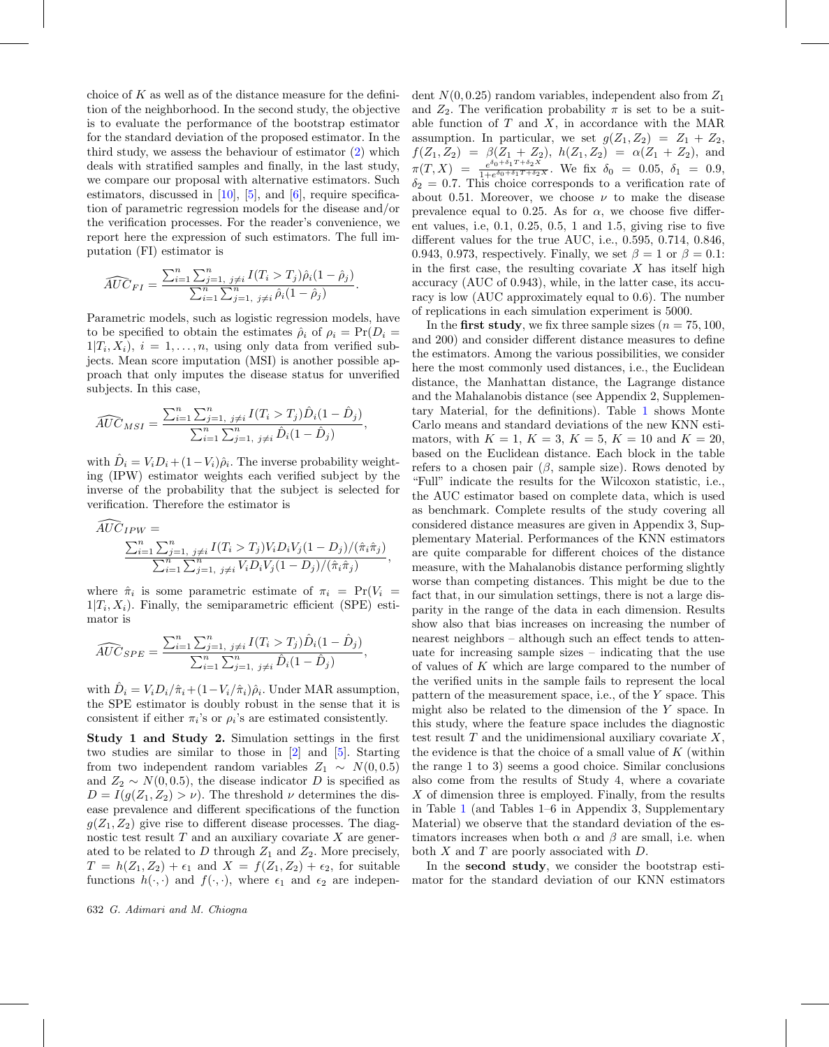choice of  $K$  as well as of the distance measure for the definition of the neighborhood. In the second study, the objective is to evaluate the performance of the bootstrap estimator for the standard deviation of the proposed estimator. In the third study, we assess the behaviour of estimator [\(2\)](#page-2-0) which deals with stratified samples and finally, in the last study, we compare our proposal with alternative estimators. Such estimators, discussed in  $[10]$  $[10]$ ,  $[5]$  $[5]$ , and  $[6]$  $[6]$ , require specification of parametric regression models for the disease and/or the verification processes. For the reader's convenience, we report here the expression of such estimators. The full im-

putation (FI) estimator is  
\n
$$
\widehat{AUC}_{FI} = \frac{\sum_{i=1}^{n} \sum_{j=1, j \neq i}^{n} I(T_i > T_j) \hat{\rho}_i (1 - \hat{\rho}_j)}{\sum_{i=1}^{n} \sum_{j=1, j \neq i}^{n} \hat{\rho}_i (1 - \hat{\rho}_j)}.
$$

Parametric models, such as logistic regression models, have to be specified to obtain the estimates  $\hat{\rho}_i$  of  $\rho_i = \Pr(D_i =$  $1|T_i, X_i|, i = 1, \ldots, n$ , using only data from verified subjects. Mean score imputation (MSI) is another possible approach that only imputes the disease status for unverified

subjects. In this case,  
\n
$$
\widehat{AUC}_{MSI} = \frac{\sum_{i=1}^{n} \sum_{j=1, j\neq i}^{n} I(T_i > T_j) \widehat{D}_i (1 - \widehat{D}_j)}{\sum_{i=1}^{n} \sum_{j=1, j\neq i}^{n} \widehat{D}_i (1 - \widehat{D}_j)},
$$

with  $\hat{D}_i = V_i D_i + (1 - V_i) \hat{\rho}_i$ . The inverse probability weighting (IPW) estimator weights each verified subject by the inverse of the probability that the subject is selected for verification. Therefore the estimator is

$$
\widehat{AUC}_{IPW} = \frac{\sum_{i=1}^{n} \sum_{j=1, j \neq i}^{n} I(T_i > T_j) V_i D_i V_j (1 - D_j) / (\hat{\pi}_i \hat{\pi}_j)}{\sum_{i=1}^{n} \sum_{j=1, j \neq i}^{n} V_i D_i V_j (1 - D_j) / (\hat{\pi}_i \hat{\pi}_j)},
$$

where  $\hat{\pi}_i$  is some parametric estimate of  $\pi_i = \Pr(V_i =$  $1|T_i, X_i$ ). Finally, the semiparametric efficient (SPE) esti-

mator is  
\n
$$
\widehat{AUC}_{SPE} = \frac{\sum_{i=1}^{n} \sum_{j=1, j \neq i}^{n} I(T_i > T_j) \hat{D}_i (1 - \hat{D}_j)}{\sum_{i=1}^{n} \sum_{j=1, j \neq i}^{n} \hat{D}_i (1 - \hat{D}_j)},
$$

with  $\hat{D}_i = V_i D_i / \hat{\pi}_i + (1 - V_i / \hat{\pi}_i) \hat{\rho}_i$ . Under MAR assumption, the SPE estimator is doubly robust in the sense that it is consistent if either  $\pi_i$ 's or  $\rho_i$ 's are estimated consistently.

**Study 1 and Study 2.** Simulation settings in the first two studies are similar to those in [\[2\]](#page-12-5) and [\[5](#page-12-0)]. Starting from two independent random variables  $Z_1 \sim N(0, 0.5)$ and  $Z_2 \sim N(0, 0.5)$ , the disease indicator D is specified as  $D = I(g(Z_1, Z_2) > \nu)$ . The threshold  $\nu$  determines the disease prevalence and different specifications of the function  $g(Z_1, Z_2)$  give rise to different disease processes. The diagnostic test result  $T$  and an auxiliary covariate  $X$  are generated to be related to  $D$  through  $Z_1$  and  $Z_2$ . More precisely,  $T = h(Z_1, Z_2) + \epsilon_1$  and  $X = f(Z_1, Z_2) + \epsilon_2$ , for suitable functions  $h(\cdot, \cdot)$  and  $f(\cdot, \cdot)$ , where  $\epsilon_1$  and  $\epsilon_2$  are independent  $N(0, 0.25)$  random variables, independent also from  $Z_1$ and  $Z_2$ . The verification probability  $\pi$  is set to be a suitable function of  $T$  and  $X$ , in accordance with the MAR assumption. In particular, we set  $g(Z_1, Z_2) = Z_1 + Z_2$ ,  $f(Z_1, Z_2) = \beta(Z_1 + Z_2), h(Z_1, Z_2) = \alpha(Z_1 + Z_2), \text{ and}$  $\pi(T, X) = \frac{e^{\delta_0 + \delta_1 T + \delta_2 X}}{1 + e^{\delta_0 + \delta_1 T + \delta_2 X}}$ . We fix  $\delta_0 = 0.05, \ \delta_1 = 0.9,$  $\delta_2 = 0.7$ . This choice corresponds to a verification rate of about 0.51. Moreover, we choose  $\nu$  to make the disease prevalence equal to 0.25. As for  $\alpha$ , we choose five different values, i.e, 0.1, 0.25, 0.5, 1 and 1.5, giving rise to five different values for the true AUC, i.e., 0.595, 0.714, 0.846, 0.943, 0.973, respectively. Finally, we set  $\beta = 1$  or  $\beta = 0.1$ : in the first case, the resulting covariate  $X$  has itself high accuracy (AUC of 0.943), while, in the latter case, its accuracy is low (AUC approximately equal to 0.6). The number of replications in each simulation experiment is 5000.

In the **first study**, we fix three sample sizes  $(n = 75, 100, ...)$ and 200) and consider different distance measures to define the estimators. Among the various possibilities, we consider here the most commonly used distances, i.e., the Euclidean distance, the Manhattan distance, the Lagrange distance and the Mahalanobis distance (see Appendix 2, Supplementary Material, for the definitions). Table [1](#page-4-0) shows Monte Carlo means and standard deviations of the new KNN estimators, with  $K = 1, K = 3, K = 5, K = 10$  and  $K = 20$ , based on the Euclidean distance. Each block in the table refers to a chosen pair  $(\beta, \text{ sample size})$ . Rows denoted by "Full" indicate the results for the Wilcoxon statistic, i.e., the AUC estimator based on complete data, which is used as benchmark. Complete results of the study covering all considered distance measures are given in Appendix 3, Supplementary Material. Performances of the KNN estimators are quite comparable for different choices of the distance measure, with the Mahalanobis distance performing slightly worse than competing distances. This might be due to the fact that, in our simulation settings, there is not a large disparity in the range of the data in each dimension. Results show also that bias increases on increasing the number of nearest neighbors – although such an effect tends to attenuate for increasing sample sizes – indicating that the use of values of  $K$  which are large compared to the number of the verified units in the sample fails to represent the local pattern of the measurement space, i.e., of the Y space. This might also be related to the dimension of the Y space. In this study, where the feature space includes the diagnostic test result  $T$  and the unidimensional auxiliary covariate  $X$ , the evidence is that the choice of a small value of  $K$  (within the range 1 to 3) seems a good choice. Similar conclusions also come from the results of Study 4, where a covariate  $X$  of dimension three is employed. Finally, from the results in Table [1](#page-4-0) (and Tables 1–6 in Appendix 3, Supplementary Material) we observe that the standard deviation of the estimators increases when both  $\alpha$  and  $\beta$  are small, i.e. when both  $X$  and  $T$  are poorly associated with  $D$ .

In the **second study**, we consider the bootstrap estimator for the standard deviation of our KNN estimators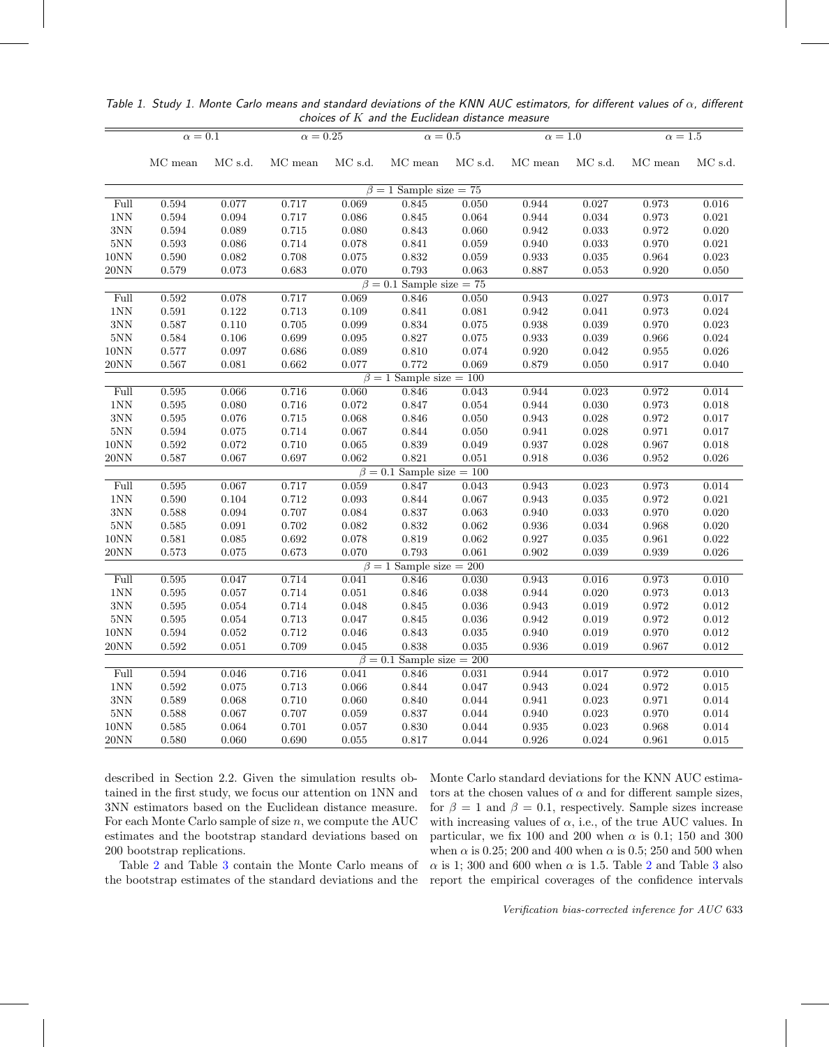|                    |                |             |                    |             | choices of it and the Euchdean distance measure |                |                |                            |                |                |
|--------------------|----------------|-------------|--------------------|-------------|-------------------------------------------------|----------------|----------------|----------------------------|----------------|----------------|
|                    | $\alpha=0.1$   |             | $\alpha=0.25$      |             | $\alpha=0.5$                                    |                | $\alpha = 1.0$ |                            | $\alpha=1.5$   |                |
|                    | MC mean        | MC s.d.     | MC mean            | MC s.d.     | $\rm MC$ mean                                   | MC s.d.        | MC mean        | MC s.d.                    | MC mean        | MC s.d.        |
|                    |                |             |                    |             | $\beta = 1$ Sample size = 75                    |                |                |                            |                |                |
| Full               | 0.594          | 0.077       | 0.717              | 0.069       | 0.845                                           | 0.050          | 0.944          | 0.027                      | 0.973          | 0.016          |
| 1NN                | $\,0.594\,$    | 0.094       | 0.717              | 0.086       | 0.845                                           | 0.064          | 0.944          | 0.034                      | 0.973          | 0.021          |
| 3NN                | $\,0.594\,$    | 0.089       | 0.715              | 0.080       | $\,0.843\,$                                     | 0.060          | $\,0.942\,$    | $\,0.033\,$                | $\rm 0.972$    | 0.020          |
| 5NN                | 0.593          | 0.086       | 0.714              | 0.078       | 0.841                                           | 0.059          | 0.940          | 0.033                      | 0.970          | 0.021          |
| 10NN               | 0.590          | 0.082       | 0.708              | 0.075       | 0.832                                           | 0.059          | 0.933          | $\,0.035\,$                | 0.964          | 0.023          |
| 20NN               | 0.579          | 0.073       | 0.683              | 0.070       | 0.793                                           | 0.063          | 0.887          | 0.053                      | 0.920          | 0.050          |
|                    |                |             |                    | $\beta=0.1$ | Sample size $= 75$                              |                |                |                            |                |                |
| Full               | 0.592          | 0.078       | 0.717              | 0.069       | 0.846                                           | 0.050          | 0.943          | 0.027                      | 0.973          | 0.017          |
| 1NN                | $\,0.591\,$    | 0.122       | 0.713              | 0.109       | 0.841                                           | 0.081          | 0.942          | 0.041                      | 0.973          | 0.024          |
| $3{\rm NN}$        | 0.587          | 0.110       | 0.705              | 0.099       | 0.834                                           | $0.075\,$      | 0.938          | 0.039                      | 0.970          | 0.023          |
| 5NN                | 0.584          | 0.106       | 0.699              | $\,0.095\,$ | 0.827                                           | $0.075\,$      | $\,0.933\,$    | 0.039                      | 0.966          | 0.024          |
| 10NN               | 0.577          | 0.097       | 0.686              | 0.089       | 0.810                                           | 0.074          | 0.920          | 0.042                      | 0.955          | 0.026          |
| 20NN               | 0.567          | 0.081       | 0.662              | 0.077       | 0.772                                           | 0.069          | 0.879          | 0.050                      | 0.917          | 0.040          |
|                    |                |             |                    |             | $\beta = 1$ Sample size = 100                   |                |                |                            |                |                |
| Full               | 0.595          | 0.066       | 0.716              | 0.060       | 0.846                                           | 0.043          | 0.944          | 0.023                      | 0.972          | 0.014          |
| 1NN                | $\,0.595\,$    | 0.080       | 0.716              | $\rm 0.072$ | 0.847                                           | 0.054          | 0.944          | 0.030                      | $\rm 0.973$    | 0.018          |
| 3NN                | 0.595          | 0.076       | 0.715              | 0.068       | 0.846                                           | 0.050          | 0.943          | 0.028                      | $\rm 0.972$    | 0.017          |
| $5{\rm NN}$        | 0.594          | 0.075       | 0.714              | 0.067       | $\,0.844\,$                                     | 0.050          | 0.941          | 0.028                      | 0.971          | 0.017          |
| 10NN               | 0.592          | 0.072       | 0.710              | 0.065       | 0.839                                           | 0.049          | 0.937          | 0.028                      | 0.967          | 0.018          |
| 20NN               | 0.587          | 0.067       | 0.697              | 0.062       | 0.821                                           | 0.051          | 0.918          | 0.036                      | 0.952          | 0.026          |
|                    |                |             |                    |             | $\beta = 0.1$ Sample size = 100                 |                |                |                            |                |                |
| Full               | 0.595          | 0.067       | 0.717              | 0.059       | 0.847                                           | 0.043          | 0.943          | 0.023                      | 0.973          | 0.014          |
| $1{\rm NN}$        | $0.590\,$      | 0.104       | 0.712              | $\,0.093\,$ | 0.844                                           | 0.067          | $\,0.943\,$    | $\,0.035\,$                | $\rm 0.972$    | 0.021          |
| 3NN                | 0.588          | 0.094       | 0.707              | 0.084       | 0.837                                           | 0.063          | 0.940          | 0.033                      | 0.970          | 0.020          |
| $5{\rm NN}$        | 0.585          | 0.091       | 0.702              | 0.082       | 0.832                                           | 0.062          | 0.936          | 0.034                      | 0.968          | 0.020          |
| 10NN               | 0.581          | $\,0.085\,$ | 0.692              | $0.078\,$   | 0.819                                           | 0.062          | 0.927          | 0.035                      | 0.961          | 0.022          |
| 20NN               | 0.573          | $0.075\,$   | $\,0.673\,$        | 0.070       | 0.793                                           | 0.061          | 0.902          | 0.039                      | 0.939          | 0.026          |
|                    |                |             |                    |             | $\beta = 1$ Sample size = 200                   |                |                |                            |                |                |
| Full               | 0.595          | 0.047       | 0.714              | 0.041       | 0.846                                           | 0.030          | 0.943          | 0.016                      | 0.973          | 0.010          |
| $1{\rm NN}$        | 0.595          | 0.057       | 0.714              | $\,0.051\,$ | 0.846                                           | 0.038          | 0.944          | 0.020                      | 0.973          | 0.013          |
| 3NN                | $\,0.595\,$    | 0.054       | 0.714              | 0.048       | 0.845                                           | $\,0.036\,$    | 0.943          | 0.019                      | $\rm 0.972$    | 0.012          |
| 5NN                | $\,0.595\,$    | 0.054       | 0.713              | 0.047       | 0.845                                           | $\,0.036\,$    | 0.942          | 0.019                      | $\rm 0.972$    | 0.012          |
| $10\mbox{NN}$      | 0.594          | $\,0.052\,$ | 0.712              | 0.046       | 0.843                                           | $\,0.035\,$    | 0.940          | 0.019                      | 0.970          | 0.012          |
| 20NN               | 0.592          | 0.051       | 0.709              | 0.045       | 0.838                                           | 0.035          | 0.936          | 0.019                      | 0.967          | $\,0.012\,$    |
|                    |                |             |                    | $\beta=0.1$ | Sample size $= 200$                             |                |                |                            |                |                |
| Full               | 0.594          | 0.046       | 0.716              | 0.041       | 0.846                                           | 0.031          | 0.944          | 0.017                      | 0.972          | 0.010<br>0.015 |
| $1{\rm NN}$        | $\,0.592\,$    | $0.075\,$   | 0.713              | 0.066       | 0.844                                           | 0.047          | 0.943          | 0.024                      | $\rm 0.972$    |                |
| $3{\rm NN}$<br>5NN | 0.589<br>0.588 | 0.068       | 0.710<br>0.707     | 0.060       | 0.840<br>0.837                                  | 0.044<br>0.044 | 0.941          | $\,0.023\,$                | 0.971          | 0.014<br>0.014 |
| 10NN               |                | 0.067       |                    | 0.059       |                                                 |                | 0.940          | $\,0.023\,$<br>$\,0.023\,$ | 0.970<br>0.968 | 0.014          |
|                    | 0.585          | 0.064       | $0.701\,$<br>0.690 | 0.057       | 0.830<br>0.817                                  | 0.044          | 0.935<br>0.926 |                            |                |                |
| 20NN               | 0.580          | 0.060       |                    | 0.055       |                                                 | 0.044          |                | 0.024                      | 0.961          | 0.015          |

<span id="page-4-0"></span>Table 1. Study 1. Monte Carlo means and standard deviations of the KNN AUC estimators, for different values of  $\alpha$ , different  $choice$  of  $K$  and the Euclidean distance measure

described in Section 2.2. Given the simulation results obtained in the first study, we focus our attention on 1NN and 3NN estimators based on the Euclidean distance measure. For each Monte Carlo sample of size  $n$ , we compute the AUC estimates and the bootstrap standard deviations based on 200 bootstrap replications.

Table [2](#page-5-0) and Table [3](#page-6-0) contain the Monte Carlo means of the bootstrap estimates of the standard deviations and the Monte Carlo standard deviations for the KNN AUC estimators at the chosen values of  $\alpha$  and for different sample sizes, for  $\beta = 1$  and  $\beta = 0.1$ , respectively. Sample sizes increase with increasing values of  $\alpha$ , i.e., of the true AUC values. In particular, we fix 100 and 200 when  $\alpha$  is 0.1; 150 and 300 when  $\alpha$  is 0.25; 200 and 400 when  $\alpha$  is 0.5; 250 and 500 when  $\alpha$  is 1; [3](#page-6-0)00 and 600 when  $\alpha$  is 1.5. Table [2](#page-5-0) and Table 3 also report the empirical coverages of the confidence intervals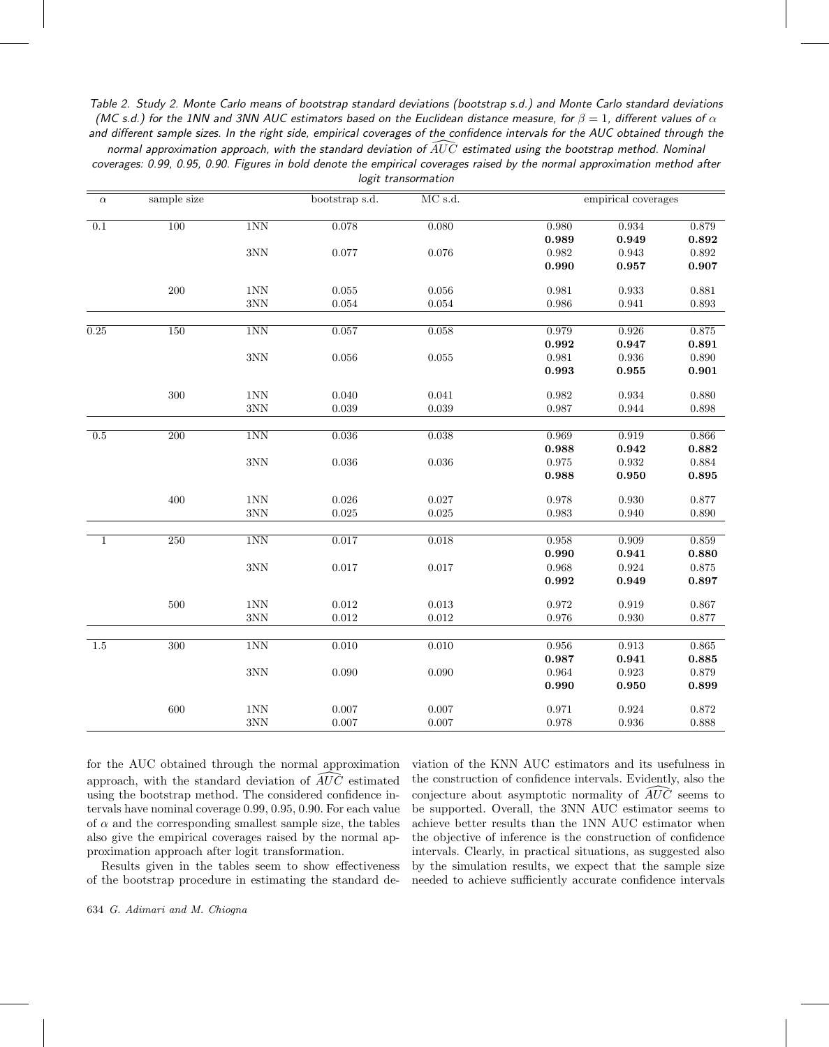<span id="page-5-0"></span>Table 2. Study 2. Monte Carlo means of bootstrap standard deviations (bootstrap s.d.) and Monte Carlo standard deviations (MC s.d.) for the 1NN and 3NN AUC estimators based on the Euclidean distance measure, for  $\beta = 1$ , different values of  $\alpha$ and different sample sizes. In the right side, empirical coverages of the confidence intervals for the AUC obtained through the AC s.d.) for the 1NN and 3NN AUC estimators based on the Euclidean distance measure, for  $\beta = 1$ , different values of<br>I different sample sizes. In the right side, empirical coverages of the confidence intervals for the AU coverages: 0.99, 0.95, 0.90. Figures in bold denote the empirical coverages raised by the normal approximation method after logit transormation

| $\alpha$     | sample size |                | bootstrap s.d. | $\rm MC$ s.d. |             | empirical coverages |             |
|--------------|-------------|----------------|----------------|---------------|-------------|---------------------|-------------|
| 0.1          | 100         | 1NN            | 0.078          | 0.080         | 0.980       | 0.934               | 0.879       |
|              |             |                |                |               | 0.989       | 0.949               | 0.892       |
|              |             | $3{\rm NN}$    | 0.077          | $0.076\,$     | $\,0.982\,$ | 0.943               | $\,0.892\,$ |
|              |             |                |                |               | 0.990       | 0.957               | 0.907       |
|              | $200\,$     | $1\mathrm{NN}$ | $0.055\,$      | $0.056\,$     | 0.981       | 0.933               | 0.881       |
|              |             | $3{\rm NN}$    | 0.054          | 0.054         | 0.986       | 0.941               | 0.893       |
| 0.25         | 150         | 1NN            | 0.057          | 0.058         | 0.979       | 0.926               | 0.875       |
|              |             |                |                |               | 0.992       | 0.947               | 0.891       |
|              |             | $3{\rm NN}$    | 0.056          | $\,0.055\,$   | 0.981       | 0.936               | 0.890       |
|              |             |                |                |               | 0.993       | $\bf 0.955$         | 0.901       |
|              | 300         | $1\mathrm{NN}$ | 0.040          | 0.041         | 0.982       | 0.934               | 0.880       |
|              |             | $3NN$          | 0.039          | 0.039         | 0.987       | 0.944               | 0.898       |
|              |             |                |                |               |             |                     |             |
| 0.5          | 200         | 1NN            | 0.036          | 0.038         | 0.969       | 0.919               | 0.866       |
|              |             |                |                |               | 0.988       | 0.942               | 0.882       |
|              |             | $3{\rm NN}$    | $\,0.036\,$    | $\,0.036\,$   | $\rm 0.975$ | 0.932               | 0.884       |
|              |             |                |                |               | 0.988       | 0.950               | $\bf 0.895$ |
|              | 400         | $1\mathrm{NN}$ | $0.026\,$      | $0.027\,$     | 0.978       | 0.930               | 0.877       |
|              |             | $3NN$          | $0.025\,$      | 0.025         | $\,0.983\,$ | 0.940               | 0.890       |
| $\mathbf{1}$ | 250         | 1NN            | 0.017          | 0.018         | 0.958       | 0.909               | 0.859       |
|              |             |                |                |               | 0.990       | 0.941               | 0.880       |
|              |             | $3{\rm NN}$    | 0.017          | $0.017\,$     | 0.968       | 0.924               | $0.875\,$   |
|              |             |                |                |               | 0.992       | 0.949               | 0.897       |
|              | 500         | $1{\rm NN}$    | 0.012          | $\,0.013\,$   | 0.972       | 0.919               | 0.867       |
|              |             | $3{\rm NN}$    | $\,0.012\,$    | $\rm 0.012$   | 0.976       | 0.930               | 0.877       |
|              |             |                |                |               |             |                     |             |
| 1.5          | 300         | 1NN            | 0.010          | 0.010         | 0.956       | 0.913               | 0.865       |
|              |             |                |                |               | 0.987       | 0.941               | 0.885       |
|              |             | 3NN            | 0.090          | $0.090\,$     | 0.964       | 0.923               | 0.879       |
|              |             |                |                |               | 0.990       | 0.950               | 0.899       |
|              | 600         | 1NN            | 0.007          | 0.007         | 0.971       | 0.924               | $0.872\,$   |
|              |             | $3NN$          | 0.007          | 0.007         | 0.978       | 0.936               | 0.888       |

for the AUC obtained through the normal approximation for the AUC obtained through the normal approximation<br>approach, with the standard deviation of  $\widehat{AUC}$  estimated using the bootstrap method. The considered confidence intervals have nominal coverage 0.99, 0.95, 0.90. For each value of  $\alpha$  and the corresponding smallest sample size, the tables also give the empirical coverages raised by the normal approximation approach after logit transformation.

Results given in the tables seem to show effectiveness of the bootstrap procedure in estimating the standard deviation of the KNN AUC estimators and its usefulness in the construction of confidence intervals. Evidently, also the viation of the KNN AUC estimators and its use<br>the construction of confidence intervals. Evidentl<br>conjecture about asymptotic normality of  $\widehat{AUC}$ conjecture about asymptotic normality of  $\widehat{A}U\widehat{C}$  seems to be supported. Overall, the 3NN AUC estimator seems to achieve better results than the 1NN AUC estimator when the objective of inference is the construction of confidence intervals. Clearly, in practical situations, as suggested also by the simulation results, we expect that the sample size needed to achieve sufficiently accurate confidence intervals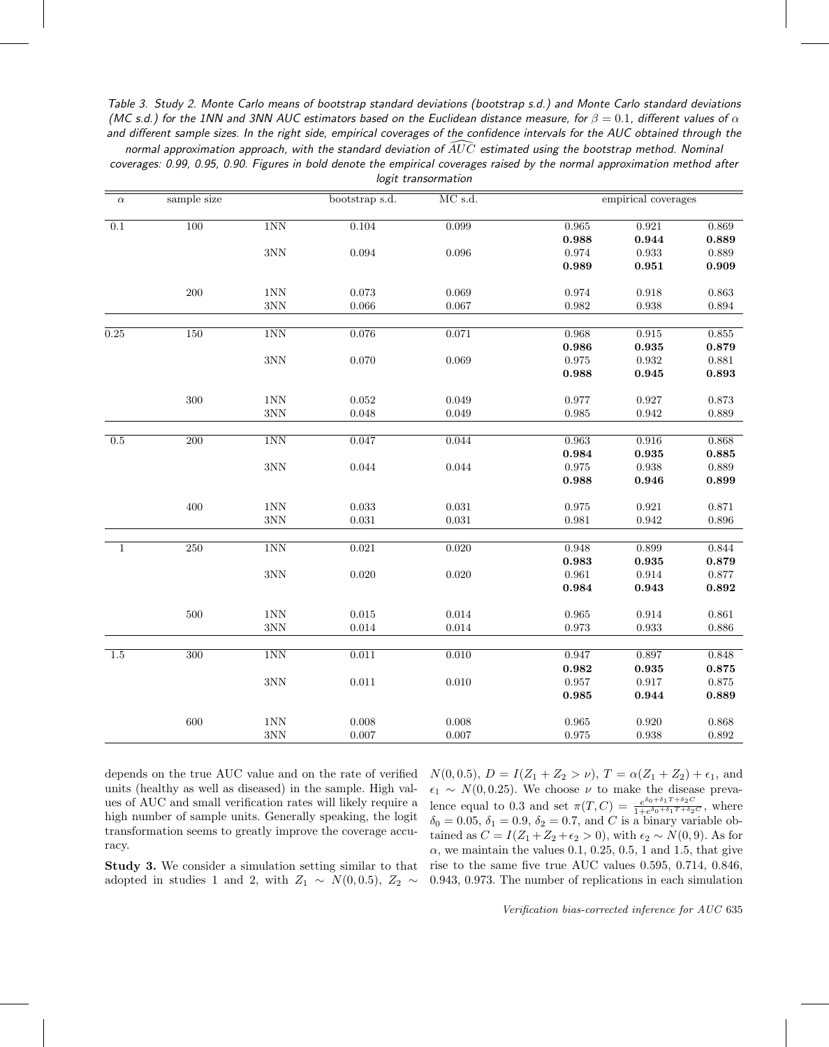<span id="page-6-0"></span>Table 3. Study 2. Monte Carlo means of bootstrap standard deviations (bootstrap s.d.) and Monte Carlo standard deviations (MC s.d.) for the 1NN and 3NN AUC estimators based on the Euclidean distance measure, for  $\beta=0.1$ , different values of  $\alpha$ and different sample sizes. In the right side, empirical coverages of the confidence intervals for the AUC obtained through the C s.d.) for the 1NN and 3NN AUC estimators based on the Euclidean distance measure, for  $\beta = 0.1$ , different values c<br>| different sample sizes. In the right side, empirical coverages of the confidence intervals for the AU

|  |  |  |                     |  |  | coverages: 0.99, 0.95, 0.90. Figures in bold denote the empirical coverages raised by the normal approximation method after |  |
|--|--|--|---------------------|--|--|-----------------------------------------------------------------------------------------------------------------------------|--|
|  |  |  | logit transormation |  |  |                                                                                                                             |  |

| $\alpha$     | sample size      |             | bootstrap s.d. | MC s.d.     |             | empirical coverages |             |
|--------------|------------------|-------------|----------------|-------------|-------------|---------------------|-------------|
| 0.1          | 100              | 1NN         | 0.104          | 0.099       | 0.965       | 0.921               | 0.869       |
|              |                  |             |                |             | 0.988       | 0.944               | 0.889       |
|              |                  | 3NN         | $\,0.094\,$    | $\,0.096\,$ | 0.974       | 0.933               | 0.889       |
|              |                  |             |                |             | 0.989       | 0.951               | 0.909       |
|              | 200              | 1NN         | 0.073          | 0.069       | 0.974       | 0.918               | 0.863       |
|              |                  | $3{\rm NN}$ | 0.066          | 0.067       | 0.982       | 0.938               | 0.894       |
| 0.25         | 150              | 1NN         | 0.076          | 0.071       | 0.968       | 0.915               | 0.855       |
|              |                  |             |                |             | 0.986       | 0.935               | 0.879       |
|              |                  | $3{\rm NN}$ | 0.070          | 0.069       | $\rm 0.975$ | $\rm 0.932$         | 0.881       |
|              |                  |             |                |             | 0.988       | 0.945               | 0.893       |
|              | 300              | $1{\rm NN}$ | 0.052          | 0.049       | 0.977       | 0.927               | 0.873       |
|              |                  | 3NN         | 0.048          | 0.049       | 0.985       | 0.942               | 0.889       |
|              |                  |             |                |             |             |                     |             |
| 0.5          | $\overline{200}$ | 1NN         | 0.047          | 0.044       | 0.963       | 0.916               | 0.868       |
|              |                  |             |                |             | 0.984       | 0.935               | 0.885       |
|              |                  | 3NN         | 0.044          | $\,0.044\,$ | 0.975       | 0.938               | 0.889       |
|              |                  |             |                |             | 0.988       | 0.946               | 0.899       |
|              | 400              | $1{\rm NN}$ | 0.033          | 0.031       | $\rm 0.975$ | 0.921               | 0.871       |
|              |                  | 3NN         | $\,0.031\,$    | 0.031       | 0.981       | 0.942               | 0.896       |
| $\mathbf{1}$ | 250              | 1NN         | 0.021          | 0.020       | 0.948       | 0.899               | 0.844       |
|              |                  |             |                |             | 0.983       | 0.935               | 0.879       |
|              |                  | $3{\rm NN}$ | 0.020          | $0.020\,$   | 0.961       | 0.914               | 0.877       |
|              |                  |             |                |             | 0.984       | 0.943               | 0.892       |
|              | 500              | 1NN         | 0.015          | $\,0.014\,$ | 0.965       | $\rm 0.914$         | 0.861       |
|              |                  | $3NN$       | 0.014          | $\,0.014\,$ | 0.973       | $\,0.933\,$         | 0.886       |
|              |                  |             |                |             |             |                     |             |
| 1.5          | 300              | 1NN         | 0.011          | 0.010       | 0.947       | 0.897               | 0.848       |
|              |                  |             |                |             | 0.982       | 0.935               | 0.875       |
|              |                  | 3NN         | $0.011\,$      | $0.010\,$   | 0.957       | $0.917\,$           | $0.875\,$   |
|              |                  |             |                |             | 0.985       | 0.944               | 0.889       |
|              | 600              | 1NN         | 0.008          | $0.008\,$   | 0.965       | $0.920\,$           | $\,0.868\,$ |
|              |                  | 3NN         | 0.007          | 0.007       | 0.975       | 0.938               | 0.892       |

depends on the true AUC value and on the rate of verified units (healthy as well as diseased) in the sample. High values of AUC and small verification rates will likely require a high number of sample units. Generally speaking, the logit transformation seems to greatly improve the coverage accuracy.

**Study 3.** We consider a simulation setting similar to that adopted in studies 1 and 2, with  $Z_1 \sim N(0, 0.5)$ ,  $Z_2 \sim$ 

 $N(0, 0.5), D = I(Z_1 + Z_2 > \nu), T = \alpha(Z_1 + Z_2) + \epsilon_1$ , and  $\epsilon_1 \sim N(0, 0.25)$ . We choose  $\nu$  to make the disease prevalence equal to 0.3 and set  $\pi(T, C) = \frac{e^{\delta_0 + \delta_1 T + \delta_2 C}}{1 + e^{\delta_0 + \delta_1 T + \delta_2 C}}$ , where  $\delta_0 = 0.05, \delta_1 = 0.9, \delta_2 = 0.7, \text{ and } C$  is a binary variable obtained as  $C = I(Z_1 + Z_2 + \epsilon_2 > 0)$ , with  $\epsilon_2 \sim N(0, 9)$ . As for  $\alpha$ , we maintain the values 0.1, 0.25, 0.5, 1 and 1.5, that give rise to the same five true AUC values 0.595, 0.714, 0.846, 0.943, 0.973. The number of replications in each simulation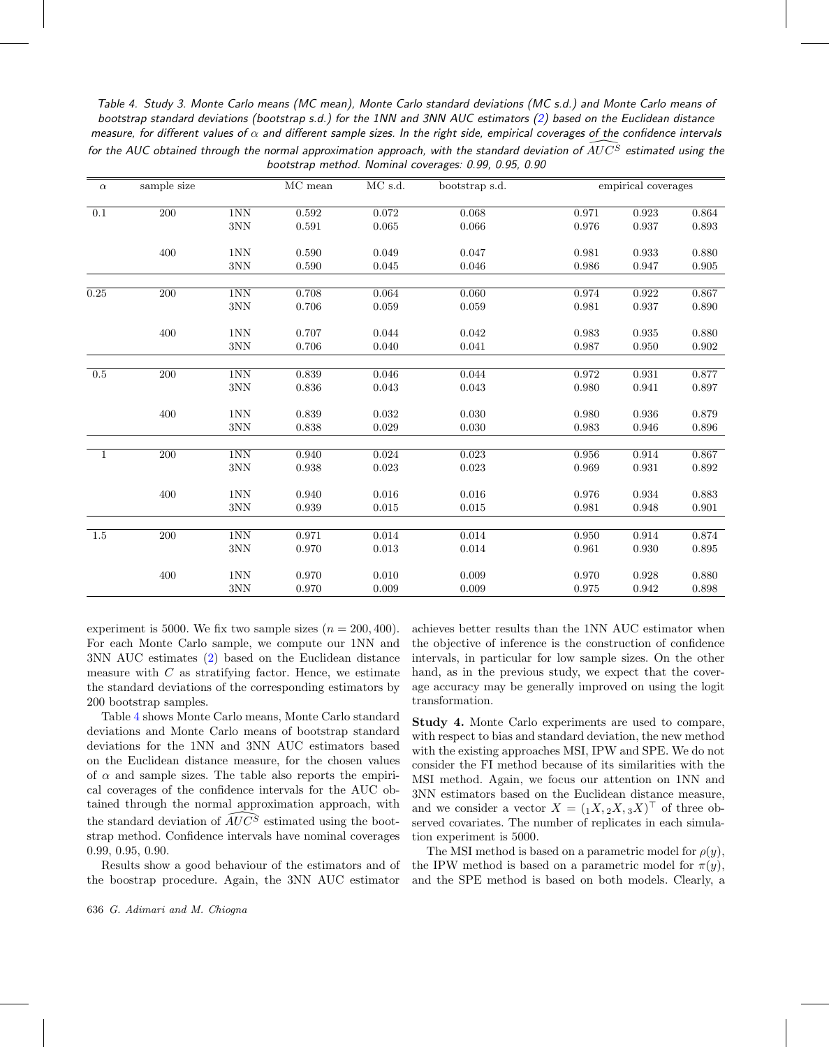<span id="page-7-0"></span>Table 4. Study 3. Monte Carlo means (MC mean), Monte Carlo standard deviations (MC s.d.) and Monte Carlo means of bootstrap standard deviations (bootstrap s.d.) for the 1NN and 3NN AUC estimators [\(2\)](#page-2-0) based on the Euclidean distance measure, for different values of  $\alpha$  and different sample sizes. In the right side, empirical coverages of the confidence intervals for the AUC obtained through the normal approximation approach, with the standard deviation of  $\widehat{AUC^S}$  estimated using the bootstrap method. Nominal coverages: 0.99, 0.95, 0.90

| $\alpha$ | sample size |             | MC mean | MC s.d. | bootstrap s.d. |       | empirical coverages |             |
|----------|-------------|-------------|---------|---------|----------------|-------|---------------------|-------------|
| 0.1      | 200         | 1NN         | 0.592   | 0.072   | 0.068          | 0.971 | 0.923               | 0.864       |
|          |             | $3{\rm NN}$ | 0.591   | 0.065   | 0.066          | 0.976 | 0.937               | 0.893       |
|          | 400         | 1NN         | 0.590   | 0.049   | 0.047          | 0.981 | 0.933               | 0.880       |
|          |             | $3{\rm NN}$ | 0.590   | 0.045   | 0.046          | 0.986 | 0.947               | 0.905       |
| 0.25     | 200         | 1NN         | 0.708   | 0.064   | 0.060          | 0.974 | 0.922               | 0.867       |
|          |             | $3{\rm NN}$ | 0.706   | 0.059   | 0.059          | 0.981 | 0.937               | 0.890       |
|          | 400         | 1NN         | 0.707   | 0.044   | 0.042          | 0.983 | 0.935               | 0.880       |
|          |             | 3NN         | 0.706   | 0.040   | 0.041          | 0.987 | 0.950               | 0.902       |
| 0.5      | 200         | $1{\rm NN}$ | 0.839   | 0.046   | 0.044          | 0.972 | 0.931               | 0.877       |
|          |             | $3{\rm NN}$ | 0.836   | 0.043   | 0.043          | 0.980 | 0.941               | 0.897       |
|          | 400         | 1NN         | 0.839   | 0.032   | 0.030          | 0.980 | 0.936               | 0.879       |
|          |             | $3{\rm NN}$ | 0.838   | 0.029   | 0.030          | 0.983 | 0.946               | 0.896       |
| 1        | 200         | 1NN         | 0.940   | 0.024   | 0.023          | 0.956 | 0.914               | 0.867       |
|          |             | 3NN         | 0.938   | 0.023   | 0.023          | 0.969 | 0.931               | 0.892       |
|          | 400         | 1NN         | 0.940   | 0.016   | 0.016          | 0.976 | 0.934               | 0.883       |
|          |             | 3NN         | 0.939   | 0.015   | 0.015          | 0.981 | 0.948               | $\rm 0.901$ |
| 1.5      | 200         | 1NN         | 0.971   | 0.014   | 0.014          | 0.950 | 0.914               | 0.874       |
|          |             | 3NN         | 0.970   | 0.013   | 0.014          | 0.961 | 0.930               | 0.895       |
|          | 400         | 1NN         | 0.970   | 0.010   | 0.009          | 0.970 | 0.928               | 0.880       |
|          |             | 3NN         | 0.970   | 0.009   | 0.009          | 0.975 | 0.942               | 0.898       |

experiment is 5000. We fix two sample sizes  $(n = 200, 400)$ . For each Monte Carlo sample, we compute our 1NN and 3NN AUC estimates [\(2\)](#page-2-0) based on the Euclidean distance measure with  $C$  as stratifying factor. Hence, we estimate the standard deviations of the corresponding estimators by 200 bootstrap samples.

Table [4](#page-7-0) shows Monte Carlo means, Monte Carlo standard deviations and Monte Carlo means of bootstrap standard deviations for the 1NN and 3NN AUC estimators based on the Euclidean distance measure, for the chosen values of  $\alpha$  and sample sizes. The table also reports the empirical coverages of the confidence intervals for the AUC obtained through the normal approximation approach, with the standard deviation of  $\overline{AUC^S}$  estimated using the bootstrap method. Confidence intervals have nominal coverages 0.99, 0.95, 0.90.

Results show a good behaviour of the estimators and of the boostrap procedure. Again, the 3NN AUC estimator

achieves better results than the 1NN AUC estimator when the objective of inference is the construction of confidence intervals, in particular for low sample sizes. On the other hand, as in the previous study, we expect that the coverage accuracy may be generally improved on using the logit transformation.

**Study 4.** Monte Carlo experiments are used to compare, with respect to bias and standard deviation, the new method with the existing approaches MSI, IPW and SPE. We do not consider the FI method because of its similarities with the MSI method. Again, we focus our attention on 1NN and 3NN estimators based on the Euclidean distance measure, and we consider a vector  $X = (1, X, 2X, 3X)^\top$  of three observed covariates. The number of replicates in each simulation experiment is 5000.

The MSI method is based on a parametric model for  $\rho(y)$ , the IPW method is based on a parametric model for  $\pi(y)$ , and the SPE method is based on both models. Clearly, a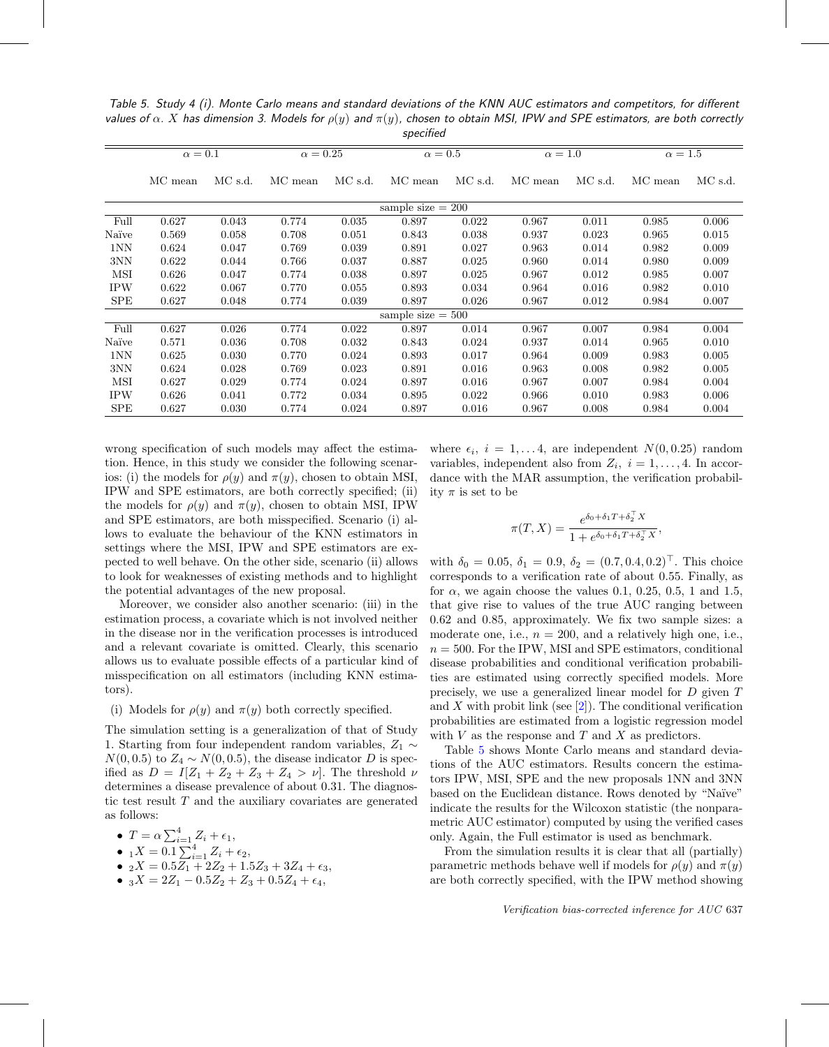<span id="page-8-0"></span>Table 5. Study 4 (i). Monte Carlo means and standard deviations of the KNN AUC estimators and competitors, for different values of  $\alpha$ . X has dimension 3. Models for  $\rho(y)$  and  $\pi(y)$ , chosen to obtain MSI, IPW and SPE estimators, are both correctly specified

|            |                     |         |                 |         | $5p$ ccmcu          |         |                |         |                |         |
|------------|---------------------|---------|-----------------|---------|---------------------|---------|----------------|---------|----------------|---------|
|            | $\alpha=0.1$        |         | $\alpha = 0.25$ |         | $\alpha=0.5$        |         | $\alpha = 1.0$ |         | $\alpha = 1.5$ |         |
|            | MC mean             | MC s.d. | MC mean         | MC s.d. | MC mean             | MC s.d. | MC mean        | MC s.d. | MC mean        | MC s.d. |
|            | sample size $= 200$ |         |                 |         |                     |         |                |         |                |         |
| Full       | 0.627               | 0.043   | 0.774           | 0.035   | 0.897               | 0.022   | 0.967          | 0.011   | 0.985          | 0.006   |
| Naïve      | 0.569               | 0.058   | 0.708           | 0.051   | 0.843               | 0.038   | 0.937          | 0.023   | 0.965          | 0.015   |
| 1NN        | 0.624               | 0.047   | 0.769           | 0.039   | 0.891               | 0.027   | 0.963          | 0.014   | 0.982          | 0.009   |
| 3NN        | 0.622               | 0.044   | 0.766           | 0.037   | 0.887               | 0.025   | 0.960          | 0.014   | 0.980          | 0.009   |
| MSI        | 0.626               | 0.047   | 0.774           | 0.038   | 0.897               | 0.025   | 0.967          | 0.012   | 0.985          | 0.007   |
| <b>IPW</b> | 0.622               | 0.067   | 0.770           | 0.055   | 0.893               | 0.034   | 0.964          | 0.016   | 0.982          | 0.010   |
| <b>SPE</b> | 0.627               | 0.048   | 0.774           | 0.039   | 0.897               | 0.026   | 0.967          | 0.012   | 0.984          | 0.007   |
|            |                     |         |                 |         | sample size $= 500$ |         |                |         |                |         |
| Full       | 0.627               | 0.026   | 0.774           | 0.022   | 0.897               | 0.014   | 0.967          | 0.007   | 0.984          | 0.004   |
| Naïve      | 0.571               | 0.036   | 0.708           | 0.032   | 0.843               | 0.024   | 0.937          | 0.014   | 0.965          | 0.010   |
| 1NN        | 0.625               | 0.030   | 0.770           | 0.024   | 0.893               | 0.017   | 0.964          | 0.009   | 0.983          | 0.005   |
| 3NN        | 0.624               | 0.028   | 0.769           | 0.023   | 0.891               | 0.016   | 0.963          | 0.008   | 0.982          | 0.005   |
| MSI        | 0.627               | 0.029   | 0.774           | 0.024   | 0.897               | 0.016   | 0.967          | 0.007   | 0.984          | 0.004   |
| <b>IPW</b> | 0.626               | 0.041   | 0.772           | 0.034   | 0.895               | 0.022   | 0.966          | 0.010   | 0.983          | 0.006   |
| <b>SPE</b> | 0.627               | 0.030   | 0.774           | 0.024   | 0.897               | 0.016   | 0.967          | 0.008   | 0.984          | 0.004   |

wrong specification of such models may affect the estimation. Hence, in this study we consider the following scenarios: (i) the models for  $\rho(y)$  and  $\pi(y)$ , chosen to obtain MSI, IPW and SPE estimators, are both correctly specified; (ii) the models for  $\rho(y)$  and  $\pi(y)$ , chosen to obtain MSI, IPW and SPE estimators, are both misspecified. Scenario (i) allows to evaluate the behaviour of the KNN estimators in settings where the MSI, IPW and SPE estimators are expected to well behave. On the other side, scenario (ii) allows to look for weaknesses of existing methods and to highlight the potential advantages of the new proposal.

Moreover, we consider also another scenario: (iii) in the estimation process, a covariate which is not involved neither in the disease nor in the verification processes is introduced and a relevant covariate is omitted. Clearly, this scenario allows us to evaluate possible effects of a particular kind of misspecification on all estimators (including KNN estimators).

#### (i) Models for  $\rho(y)$  and  $\pi(y)$  both correctly specified.

The simulation setting is a generalization of that of Study 1. Starting from four independent random variables,  $Z_1 \sim$  $N(0, 0.5)$  to  $Z_4 \sim N(0, 0.5)$ , the disease indicator D is specified as  $D = I[Z_1 + Z_2 + Z_3 + Z_4 > \nu]$ . The threshold  $\nu$ determines a disease prevalence of about 0.31. The diagnostic test result  $T$  and the auxiliary covariates are generated as follows:

• 
$$
T = \alpha \sum_{i=1}^{4} Z_i + \epsilon_1,
$$

$$
\bullet \ \ _{1}X=0.1\sum_{i=1}^{4}Z_{i}+\epsilon _{2},
$$

- $_2X = 0.5Z_1 + 2Z_2 + 1.5Z_3 + 3Z_4 + \epsilon_3,$
- $_3X = 2Z_1 0.5Z_2 + Z_3 + 0.5Z_4 + \epsilon_4,$

where  $\epsilon_i$ ,  $i = 1, \ldots 4$ , are independent  $N(0, 0.25)$  random variables, independent also from  $Z_i$ ,  $i = 1, \ldots, 4$ . In accordance with the MAR assumption, the verification probability  $\pi$  is set to be

$$
\pi(T, X) = \frac{e^{\delta_0 + \delta_1 T + \delta_2^{-T} X}}{1 + e^{\delta_0 + \delta_1 T + \delta_2^{-T} X}},
$$

with  $\delta_0 = 0.05, \delta_1 = 0.9, \delta_2 = (0.7, 0.4, 0.2)^\top$ . This choice corresponds to a verification rate of about 0.55. Finally, as for  $\alpha$ , we again choose the values 0.1, 0.25, 0.5, 1 and 1.5, that give rise to values of the true AUC ranging between 0.62 and 0.85, approximately. We fix two sample sizes: a moderate one, i.e.,  $n = 200$ , and a relatively high one, i.e.,  $n = 500$ . For the IPW, MSI and SPE estimators, conditional disease probabilities and conditional verification probabilities are estimated using correctly specified models. More precisely, we use a generalized linear model for D given T and X with probit link (see  $[2]$ ). The conditional verification probabilities are estimated from a logistic regression model with  $V$  as the response and  $T$  and  $X$  as predictors.

Table [5](#page-8-0) shows Monte Carlo means and standard deviations of the AUC estimators. Results concern the estimators IPW, MSI, SPE and the new proposals 1NN and 3NN based on the Euclidean distance. Rows denoted by "Naïve" indicate the results for the Wilcoxon statistic (the nonparametric AUC estimator) computed by using the verified cases only. Again, the Full estimator is used as benchmark.

From the simulation results it is clear that all (partially) parametric methods behave well if models for  $\rho(y)$  and  $\pi(y)$ are both correctly specified, with the IPW method showing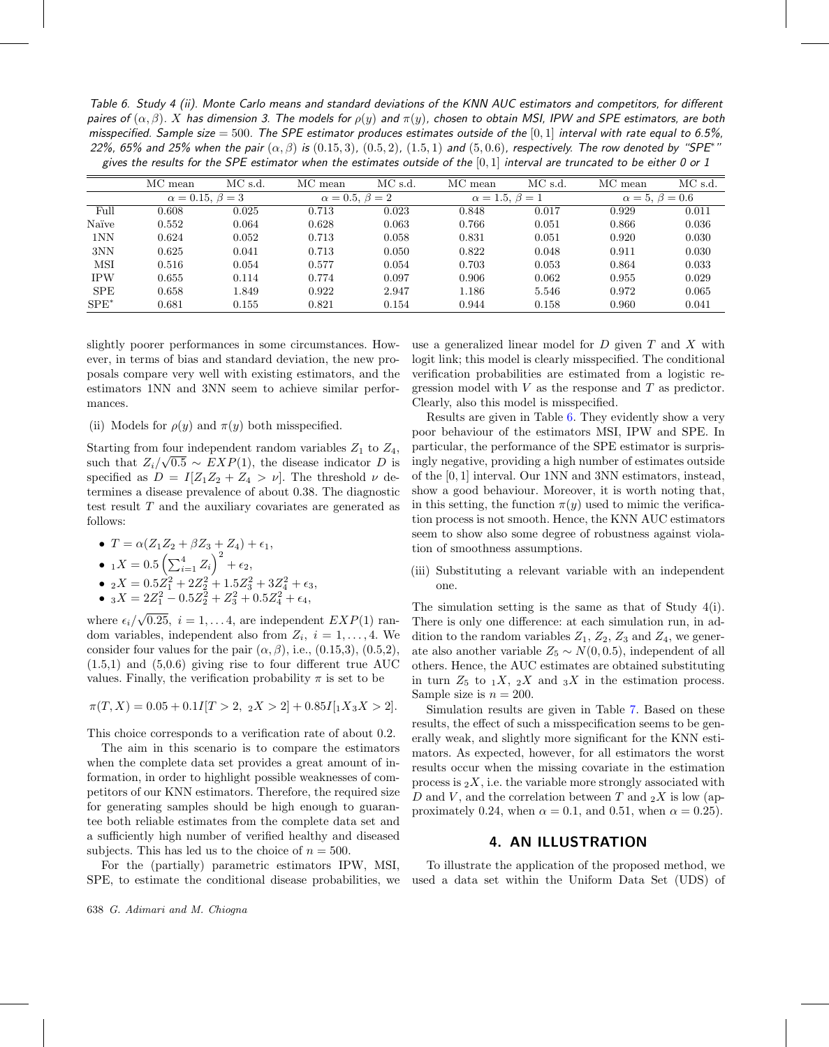<span id="page-9-0"></span>Table 6. Study 4 (ii). Monte Carlo means and standard deviations of the KNN AUC estimators and competitors, for different paires of  $(\alpha, \beta)$ . X has dimension 3. The models for  $\rho(y)$  and  $\pi(y)$ , chosen to obtain MSI, IPW and SPE estimators, are both misspecified. Sample size  $= 500$ . The SPE estimator produces estimates outside of the [0, 1] interval with rate equal to 6.5%, 22%, 65% and 25% when the pair  $(\alpha, \beta)$  is  $(0.15, 3)$ ,  $(0.5, 2)$ ,  $(1.5, 1)$  and  $(5, 0.6)$ , respectively. The row denoted by "SPE\*" gives the results for the SPE estimator when the estimates outside of the  $[0,1]$  interval are truncated to be either 0 or 1

|            | MC mean                    | MC s.d. | MC mean | MC s.d.                   | MC mean | MC s.d.                   | MC mean                   | MC s.d. |
|------------|----------------------------|---------|---------|---------------------------|---------|---------------------------|---------------------------|---------|
|            | $\alpha = 0.15, \beta = 3$ |         |         | $\alpha = 0.5, \beta = 2$ |         | $\alpha = 1.5, \beta = 1$ | $\alpha = 5, \beta = 0.6$ |         |
| Full       | 0.608                      | 0.025   | 0.713   | 0.023                     | 0.848   | 0.017                     | 0.929                     | 0.011   |
| Naïve      | 0.552                      | 0.064   | 0.628   | 0.063                     | 0.766   | 0.051                     | 0.866                     | 0.036   |
| 1NN        | 0.624                      | 0.052   | 0.713   | 0.058                     | 0.831   | 0.051                     | 0.920                     | 0.030   |
| 3NN        | 0.625                      | 0.041   | 0.713   | 0.050                     | 0.822   | 0.048                     | 0.911                     | 0.030   |
| <b>MSI</b> | 0.516                      | 0.054   | 0.577   | 0.054                     | 0.703   | 0.053                     | 0.864                     | 0.033   |
| <b>IPW</b> | 0.655                      | 0.114   | 0.774   | 0.097                     | 0.906   | 0.062                     | 0.955                     | 0.029   |
| <b>SPE</b> | 0.658                      | 1.849   | 0.922   | 2.947                     | 1.186   | 5.546                     | 0.972                     | 0.065   |
| $SPE^*$    | 0.681                      | 0.155   | 0.821   | 0.154                     | 0.944   | 0.158                     | 0.960                     | 0.041   |

slightly poorer performances in some circumstances. However, in terms of bias and standard deviation, the new proposals compare very well with existing estimators, and the estimators 1NN and 3NN seem to achieve similar performances.

(ii) Models for  $\rho(y)$  and  $\pi(y)$  both misspecified.

Starting from four independent random variables  $Z_1$  to  $Z_4$ , starting from four independent random variables  $Z_1$  to  $Z_4$ ,<br>such that  $Z_i/\sqrt{0.5} \sim EXP(1)$ , the disease indicator D is specified as  $D = I[Z_1 Z_2 + Z_4 > \nu]$ . The threshold  $\nu$  determines a disease prevalence of about 0.38. The diagnostic test result T and the auxiliary covariates are generated as follows:

•  $T = \alpha (Z_1 Z_2 + \beta Z_3 + Z_4) + \epsilon_1,$ 

• 
$$
{}_1X = 0.5 \left( \sum_{i=1}^4 Z_i \right)^2 + \epsilon_2
$$
,

- $_2X = 0.5Z_1^2 + 2Z_2^2 + 1.5Z_3^2 + 3Z_4^2 + \epsilon_3,$
- $_3X = 2Z_1^2 0.5Z_2^2 + Z_3^2 + 0.5Z_4^2 + \epsilon_4,$

where  $\epsilon_i/\sqrt{0.25}$ ,  $i = 1,... 4$ , are independent  $EXP(1)$  random variables, independent also from  $Z_i$ ,  $i = 1, \ldots, 4$ . We consider four values for the pair  $(\alpha, \beta)$ , i.e.,  $(0.15,3)$ ,  $(0.5,2)$ ,  $(1.5,1)$  and  $(5,0.6)$  giving rise to four different true AUC values. Finally, the verification probability  $\pi$  is set to be

$$
\pi(T, X) = 0.05 + 0.1I[T > 2, \ 2X > 2] + 0.85I[1X_3X > 2].
$$

This choice corresponds to a verification rate of about 0.2.

The aim in this scenario is to compare the estimators when the complete data set provides a great amount of information, in order to highlight possible weaknesses of competitors of our KNN estimators. Therefore, the required size for generating samples should be high enough to guarantee both reliable estimates from the complete data set and a sufficiently high number of verified healthy and diseased subjects. This has led us to the choice of  $n = 500$ .

For the (partially) parametric estimators IPW, MSI, SPE, to estimate the conditional disease probabilities, we use a generalized linear model for  $D$  given  $T$  and  $X$  with logit link; this model is clearly misspecified. The conditional verification probabilities are estimated from a logistic regression model with  $V$  as the response and  $T$  as predictor. Clearly, also this model is misspecified.

Results are given in Table [6.](#page-9-0) They evidently show a very poor behaviour of the estimators MSI, IPW and SPE. In particular, the performance of the SPE estimator is surprisingly negative, providing a high number of estimates outside of the [0, 1] interval. Our 1NN and 3NN estimators, instead, show a good behaviour. Moreover, it is worth noting that, in this setting, the function  $\pi(y)$  used to mimic the verification process is not smooth. Hence, the KNN AUC estimators seem to show also some degree of robustness against violation of smoothness assumptions.

(iii) Substituting a relevant variable with an independent one.

The simulation setting is the same as that of Study 4(i). There is only one difference: at each simulation run, in addition to the random variables  $Z_1$ ,  $Z_2$ ,  $Z_3$  and  $Z_4$ , we generate also another variable  $Z_5 \sim N(0, 0.5)$ , independent of all others. Hence, the AUC estimates are obtained substituting in turn  $Z_5$  to  $_1X$ ,  $_2X$  and  $_3X$  in the estimation process. Sample size is  $n = 200$ .

Simulation results are given in Table [7.](#page-10-0) Based on these results, the effect of such a misspecification seems to be generally weak, and slightly more significant for the KNN estimators. As expected, however, for all estimators the worst results occur when the missing covariate in the estimation process is  $_2X$ , i.e. the variable more strongly associated with D and V, and the correlation between T and  $_2X$  is low (approximately 0.24, when  $\alpha = 0.1$ , and 0.51, when  $\alpha = 0.25$ ).

# **4. AN ILLUSTRATION**

To illustrate the application of the proposed method, we used a data set within the Uniform Data Set (UDS) of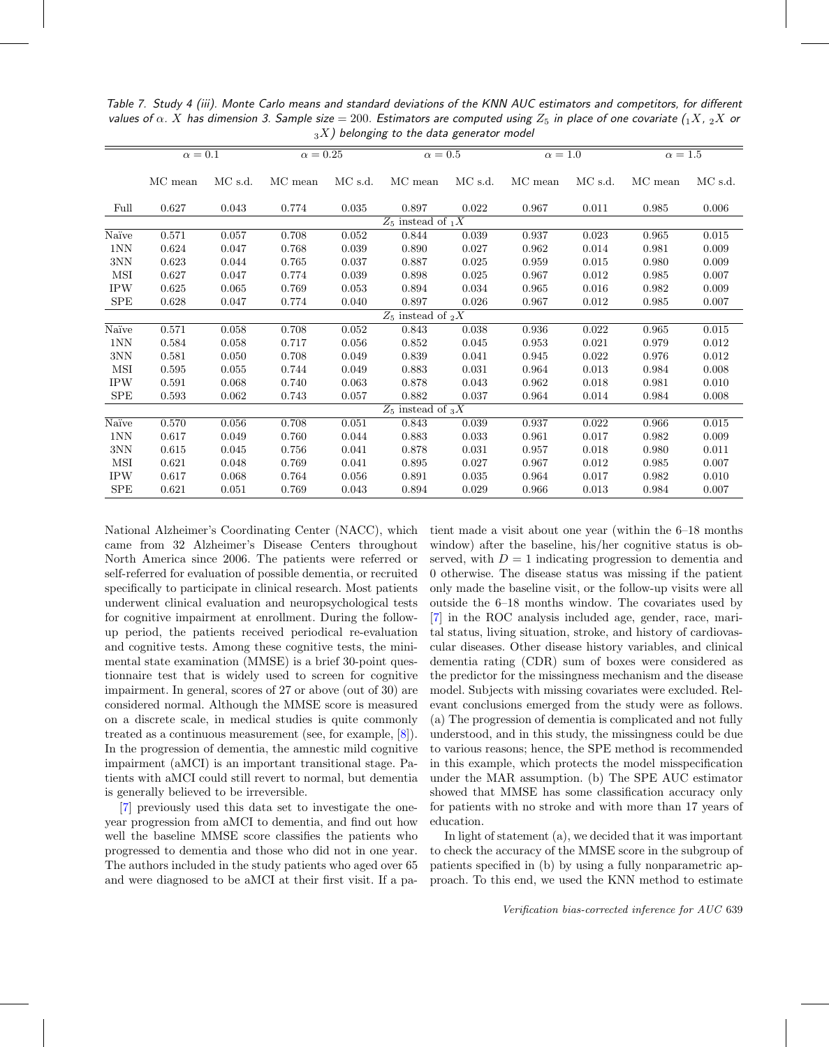<span id="page-10-0"></span>Table 7. Study 4 (iii). Monte Carlo means and standard deviations of the KNN AUC estimators and competitors, for different values of  $\alpha$ . X has dimension 3. Sample size = 200. Estimators are computed using  $Z_5$  in place of one covariate (1X, 2X or  $_3X$ ) belonging to the data generator model

|             | $\alpha=0.1$ |               | $\alpha = 0.25$ |         | $\alpha = 0.5$                   |               | $\alpha = 1.0$ |               | $\alpha = 1.5$ |         |
|-------------|--------------|---------------|-----------------|---------|----------------------------------|---------------|----------------|---------------|----------------|---------|
|             |              |               |                 |         |                                  |               |                |               |                |         |
|             | MC mean      | $\rm MC$ s.d. | MC mean         | MC s.d. | MC mean                          | $\rm MC$ s.d. | MC mean        | $\rm MC$ s.d. | MC mean        | MC s.d. |
|             |              |               |                 |         |                                  |               |                |               |                |         |
| Full        | 0.627        | 0.043         | 0.774           | 0.035   | 0.897                            | 0.022         | 0.967          | 0.011         | 0.985          | 0.006   |
|             |              |               |                 |         | $Z_5$ instead of $\overline{X}$  |               |                |               |                |         |
| Naïve       | 0.571        | 0.057         | 0.708           | 0.052   | 0.844                            | 0.039         | 0.937          | 0.023         | 0.965          | 0.015   |
| 1NN         | 0.624        | 0.047         | 0.768           | 0.039   | 0.890                            | 0.027         | 0.962          | 0.014         | 0.981          | 0.009   |
| 3NN         | 0.623        | 0.044         | 0.765           | 0.037   | 0.887                            | 0.025         | 0.959          | 0.015         | 0.980          | 0.009   |
| MSI         | 0.627        | 0.047         | 0.774           | 0.039   | 0.898                            | 0.025         | 0.967          | 0.012         | 0.985          | 0.007   |
| <b>IPW</b>  | 0.625        | 0.065         | 0.769           | 0.053   | 0.894                            | 0.034         | 0.965          | 0.016         | 0.982          | 0.009   |
| SPE         | 0.628        | 0.047         | 0.774           | 0.040   | 0.897                            | 0.026         | 0.967          | 0.012         | 0.985          | 0.007   |
|             |              |               |                 |         | $Z_5$ instead of $_2X$           |               |                |               |                |         |
| Naïve       | 0.571        | 0.058         | 0.708           | 0.052   | 0.843                            | 0.038         | 0.936          | 0.022         | 0.965          | 0.015   |
| 1NN         | 0.584        | 0.058         | 0.717           | 0.056   | 0.852                            | 0.045         | 0.953          | 0.021         | 0.979          | 0.012   |
| 3NN         | 0.581        | 0.050         | 0.708           | 0.049   | 0.839                            | 0.041         | 0.945          | 0.022         | 0.976          | 0.012   |
| MSI         | 0.595        | 0.055         | 0.744           | 0.049   | 0.883                            | 0.031         | 0.964          | 0.013         | 0.984          | 0.008   |
| <b>IPW</b>  | 0.591        | 0.068         | 0.740           | 0.063   | 0.878                            | 0.043         | 0.962          | 0.018         | 0.981          | 0.010   |
| SPE         | 0.593        | 0.062         | 0.743           | 0.057   | 0.882                            | 0.037         | 0.964          | 0.014         | 0.984          | 0.008   |
|             |              |               |                 |         | $Z_5$ instead of $3\overline{X}$ |               |                |               |                |         |
| Naïve       | 0.570        | 0.056         | 0.708           | 0.051   | 0.843                            | 0.039         | 0.937          | 0.022         | 0.966          | 0.015   |
| 1NN         | 0.617        | 0.049         | 0.760           | 0.044   | 0.883                            | 0.033         | 0.961          | 0.017         | 0.982          | 0.009   |
| 3NN         | 0.615        | 0.045         | 0.756           | 0.041   | 0.878                            | 0.031         | 0.957          | 0.018         | 0.980          | 0.011   |
| MSI         | 0.621        | 0.048         | 0.769           | 0.041   | 0.895                            | 0.027         | 0.967          | 0.012         | 0.985          | 0.007   |
| <b>IPW</b>  | 0.617        | 0.068         | 0.764           | 0.056   | 0.891                            | 0.035         | 0.964          | 0.017         | 0.982          | 0.010   |
| ${\rm SPE}$ | 0.621        | 0.051         | 0.769           | 0.043   | 0.894                            | 0.029         | 0.966          | 0.013         | 0.984          | 0.007   |

National Alzheimer's Coordinating Center (NACC), which came from 32 Alzheimer's Disease Centers throughout North America since 2006. The patients were referred or self-referred for evaluation of possible dementia, or recruited specifically to participate in clinical research. Most patients underwent clinical evaluation and neuropsychological tests for cognitive impairment at enrollment. During the followup period, the patients received periodical re-evaluation and cognitive tests. Among these cognitive tests, the minimental state examination (MMSE) is a brief 30-point questionnaire test that is widely used to screen for cognitive impairment. In general, scores of 27 or above (out of 30) are considered normal. Although the MMSE score is measured on a discrete scale, in medical studies is quite commonly treated as a continuous measurement (see, for example, [\[8](#page-12-6)]). In the progression of dementia, the amnestic mild cognitive impairment (aMCI) is an important transitional stage. Patients with aMCI could still revert to normal, but dementia is generally believed to be irreversible.

[\[7](#page-12-7)] previously used this data set to investigate the oneyear progression from aMCI to dementia, and find out how well the baseline MMSE score classifies the patients who progressed to dementia and those who did not in one year. The authors included in the study patients who aged over 65 and were diagnosed to be aMCI at their first visit. If a pa-

tient made a visit about one year (within the 6–18 months window) after the baseline, his/her cognitive status is observed, with  $D = 1$  indicating progression to dementia and 0 otherwise. The disease status was missing if the patient only made the baseline visit, or the follow-up visits were all outside the 6–18 months window. The covariates used by [\[7](#page-12-7)] in the ROC analysis included age, gender, race, marital status, living situation, stroke, and history of cardiovascular diseases. Other disease history variables, and clinical dementia rating (CDR) sum of boxes were considered as the predictor for the missingness mechanism and the disease model. Subjects with missing covariates were excluded. Relevant conclusions emerged from the study were as follows. (a) The progression of dementia is complicated and not fully understood, and in this study, the missingness could be due to various reasons; hence, the SPE method is recommended in this example, which protects the model misspecification under the MAR assumption. (b) The SPE AUC estimator showed that MMSE has some classification accuracy only for patients with no stroke and with more than 17 years of education.

In light of statement (a), we decided that it was important to check the accuracy of the MMSE score in the subgroup of patients specified in (b) by using a fully nonparametric approach. To this end, we used the KNN method to estimate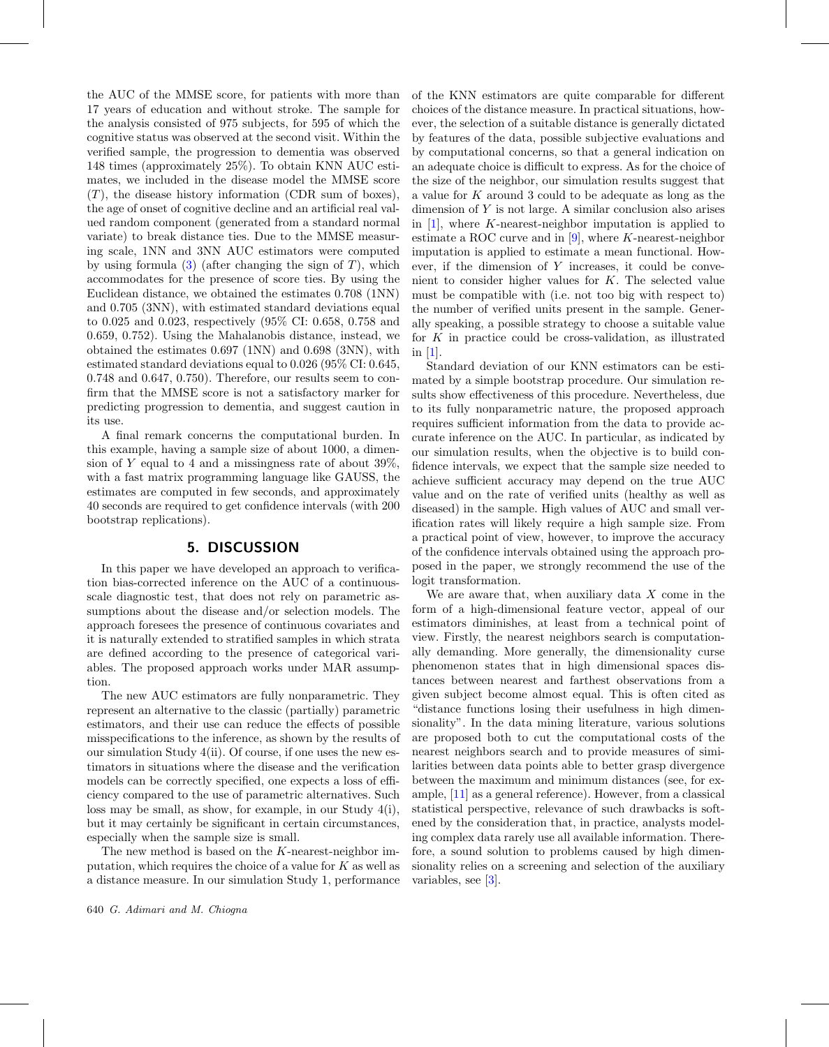the AUC of the MMSE score, for patients with more than 17 years of education and without stroke. The sample for the analysis consisted of 975 subjects, for 595 of which the cognitive status was observed at the second visit. Within the verified sample, the progression to dementia was observed 148 times (approximately 25%). To obtain KNN AUC estimates, we included in the disease model the MMSE score  $(T)$ , the disease history information (CDR sum of boxes), the age of onset of cognitive decline and an artificial real valued random component (generated from a standard normal variate) to break distance ties. Due to the MMSE measuring scale, 1NN and 3NN AUC estimators were computed by using formula  $(3)$  (after changing the sign of T), which accommodates for the presence of score ties. By using the Euclidean distance, we obtained the estimates 0.708 (1NN) and 0.705 (3NN), with estimated standard deviations equal to 0.025 and 0.023, respectively (95% CI: 0.658, 0.758 and 0.659, 0.752). Using the Mahalanobis distance, instead, we obtained the estimates 0.697 (1NN) and 0.698 (3NN), with estimated standard deviations equal to 0.026 (95% CI: 0.645, 0.748 and 0.647, 0.750). Therefore, our results seem to confirm that the MMSE score is not a satisfactory marker for predicting progression to dementia, and suggest caution in its use.

A final remark concerns the computational burden. In this example, having a sample size of about 1000, a dimension of Y equal to 4 and a missingness rate of about  $39\%$ , with a fast matrix programming language like GAUSS, the estimates are computed in few seconds, and approximately 40 seconds are required to get confidence intervals (with 200 bootstrap replications).

## **5. DISCUSSION**

In this paper we have developed an approach to verification bias-corrected inference on the AUC of a continuousscale diagnostic test, that does not rely on parametric assumptions about the disease and/or selection models. The approach foresees the presence of continuous covariates and it is naturally extended to stratified samples in which strata are defined according to the presence of categorical variables. The proposed approach works under MAR assumption.

The new AUC estimators are fully nonparametric. They represent an alternative to the classic (partially) parametric estimators, and their use can reduce the effects of possible misspecifications to the inference, as shown by the results of our simulation Study 4(ii). Of course, if one uses the new estimators in situations where the disease and the verification models can be correctly specified, one expects a loss of efficiency compared to the use of parametric alternatives. Such loss may be small, as show, for example, in our Study 4(i), but it may certainly be significant in certain circumstances, especially when the sample size is small.

The new method is based on the K-nearest-neighbor imputation, which requires the choice of a value for  $K$  as well as a distance measure. In our simulation Study 1, performance of the KNN estimators are quite comparable for different choices of the distance measure. In practical situations, however, the selection of a suitable distance is generally dictated by features of the data, possible subjective evaluations and by computational concerns, so that a general indication on an adequate choice is difficult to express. As for the choice of the size of the neighbor, our simulation results suggest that a value for K around 3 could to be adequate as long as the dimension of  $Y$  is not large. A similar conclusion also arises in  $[1]$  $[1]$ , where K-nearest-neighbor imputation is applied to estimate a ROC curve and in  $[9]$  $[9]$ , where K-nearest-neighbor imputation is applied to estimate a mean functional. However, if the dimension of  $Y$  increases, it could be convenient to consider higher values for K. The selected value must be compatible with (i.e. not too big with respect to) the number of verified units present in the sample. Generally speaking, a possible strategy to choose a suitable value for  $K$  in practice could be cross-validation, as illustrated in [\[1](#page-12-3)].

Standard deviation of our KNN estimators can be estimated by a simple bootstrap procedure. Our simulation results show effectiveness of this procedure. Nevertheless, due to its fully nonparametric nature, the proposed approach requires sufficient information from the data to provide accurate inference on the AUC. In particular, as indicated by our simulation results, when the objective is to build confidence intervals, we expect that the sample size needed to achieve sufficient accuracy may depend on the true AUC value and on the rate of verified units (healthy as well as diseased) in the sample. High values of AUC and small verification rates will likely require a high sample size. From a practical point of view, however, to improve the accuracy of the confidence intervals obtained using the approach proposed in the paper, we strongly recommend the use of the logit transformation.

We are aware that, when auxiliary data  $X$  come in the form of a high-dimensional feature vector, appeal of our estimators diminishes, at least from a technical point of view. Firstly, the nearest neighbors search is computationally demanding. More generally, the dimensionality curse phenomenon states that in high dimensional spaces distances between nearest and farthest observations from a given subject become almost equal. This is often cited as "distance functions losing their usefulness in high dimensionality". In the data mining literature, various solutions are proposed both to cut the computational costs of the nearest neighbors search and to provide measures of similarities between data points able to better grasp divergence between the maximum and minimum distances (see, for example, [\[11\]](#page-12-9) as a general reference). However, from a classical statistical perspective, relevance of such drawbacks is softened by the consideration that, in practice, analysts modeling complex data rarely use all available information. Therefore, a sound solution to problems caused by high dimensionality relies on a screening and selection of the auxiliary variables, see [\[3\]](#page-12-10).